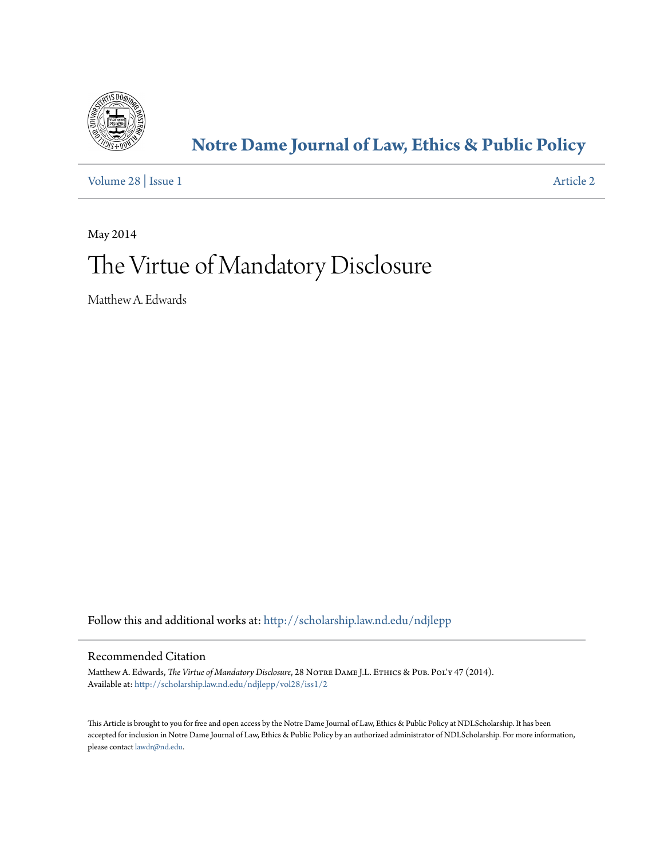

# **[Notre Dame Journal of Law, Ethics & Public Policy](http://scholarship.law.nd.edu/ndjlepp?utm_source=scholarship.law.nd.edu%2Fndjlepp%2Fvol28%2Fiss1%2F2&utm_medium=PDF&utm_campaign=PDFCoverPages)**

[Volume 28](http://scholarship.law.nd.edu/ndjlepp/vol28?utm_source=scholarship.law.nd.edu%2Fndjlepp%2Fvol28%2Fiss1%2F2&utm_medium=PDF&utm_campaign=PDFCoverPages) | [Issue 1](http://scholarship.law.nd.edu/ndjlepp/vol28/iss1?utm_source=scholarship.law.nd.edu%2Fndjlepp%2Fvol28%2Fiss1%2F2&utm_medium=PDF&utm_campaign=PDFCoverPages) [Article 2](http://scholarship.law.nd.edu/ndjlepp/vol28/iss1/2?utm_source=scholarship.law.nd.edu%2Fndjlepp%2Fvol28%2Fiss1%2F2&utm_medium=PDF&utm_campaign=PDFCoverPages)

May 2014

# The Virtue of Mandatory Disclosure

Matthew A. Edwards

Follow this and additional works at: [http://scholarship.law.nd.edu/ndjlepp](http://scholarship.law.nd.edu/ndjlepp?utm_source=scholarship.law.nd.edu%2Fndjlepp%2Fvol28%2Fiss1%2F2&utm_medium=PDF&utm_campaign=PDFCoverPages)

# Recommended Citation

Matthew A. Edwards, *The Virtue of Mandatory Disclosure*, 28 Notre Dame J.L. Ethics & Pub. Pol'y 47 (2014). Available at: [http://scholarship.law.nd.edu/ndjlepp/vol28/iss1/2](http://scholarship.law.nd.edu/ndjlepp/vol28/iss1/2?utm_source=scholarship.law.nd.edu%2Fndjlepp%2Fvol28%2Fiss1%2F2&utm_medium=PDF&utm_campaign=PDFCoverPages)

This Article is brought to you for free and open access by the Notre Dame Journal of Law, Ethics & Public Policy at NDLScholarship. It has been accepted for inclusion in Notre Dame Journal of Law, Ethics & Public Policy by an authorized administrator of NDLScholarship. For more information, please contact [lawdr@nd.edu](mailto:lawdr@nd.edu).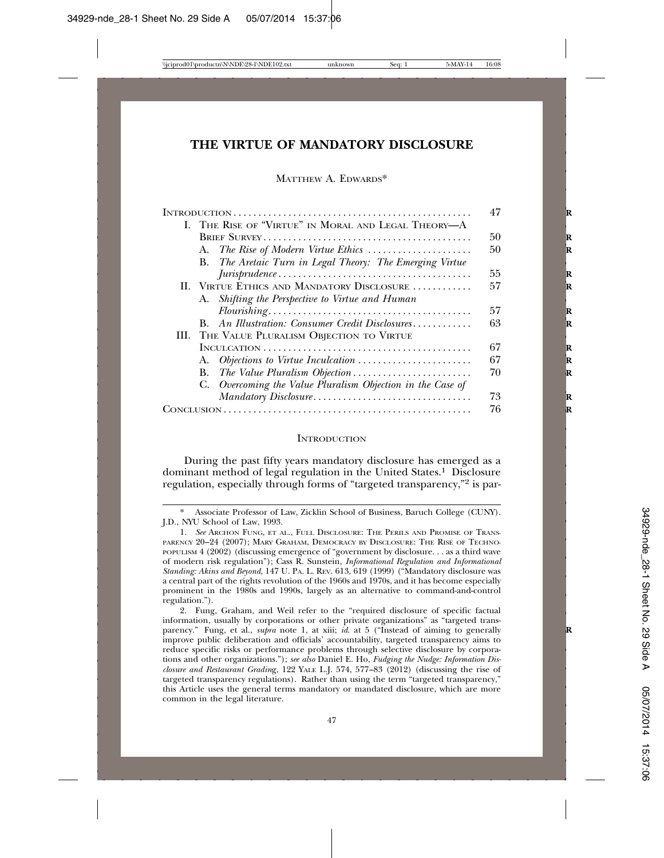# **THE VIRTUE OF MANDATORY DISCLOSURE**

#### MATTHEW A. EDWARDS\*

|                                                                                        | 47 |
|----------------------------------------------------------------------------------------|----|
| I. THE RISE OF "VIRTUE" IN MORAL AND LEGAL THEORY-A                                    |    |
|                                                                                        | 50 |
|                                                                                        | 50 |
| B. The Aretaic Turn in Legal Theory: The Emerging Virtue                               |    |
|                                                                                        | 55 |
| II. VIRTUE ETHICS AND MANDATORY DISCLOSURE                                             | 57 |
| A. Shifting the Perspective to Virtue and Human                                        |    |
|                                                                                        | 57 |
| An Illustration: Consumer Credit Disclosures<br>$\bf{B}$ .                             | 63 |
| III. THE VALUE PLURALISM OBJECTION TO VIRTUE                                           |    |
|                                                                                        | 67 |
|                                                                                        | 67 |
| The Value Pluralism Objection $\ldots \ldots \ldots \ldots \ldots \ldots \ldots$<br>В. | 70 |
| C. Overcoming the Value Pluralism Objection in the Case of                             |    |
|                                                                                        | 73 |
|                                                                                        | 76 |
|                                                                                        |    |

#### **INTRODUCTION**

During the past fifty years mandatory disclosure has emerged as a dominant method of legal regulation in the United States.<sup>1</sup> Disclosure regulation, especially through forms of "targeted transparency,"2 is par-

<sup>\*</sup> Associate Professor of Law, Zicklin School of Business, Baruch College (CUNY). J.D., NYU School of Law, 1993.

<sup>1.</sup> *See* ARCHON FUNG, ET AL., FULL DISCLOSURE: THE PERILS AND PROMISE OF TRANS-PARENCY 20–24 (2007); MARY GRAHAM, DEMOCRACY BY DISCLOSURE: THE RISE OF TECHNO-POPULISM 4 (2002) (discussing emergence of "government by disclosure. . . as a third wave of modern risk regulation"); Cass R. Sunstein, *Informational Regulation and Informational Standing: Akins and Beyond*, 147 U. PA. L. REV. 613, 619 (1999) ("Mandatory disclosure was a central part of the rights revolution of the 1960s and 1970s, and it has become especially prominent in the 1980s and 1990s, largely as an alternative to command-and-control regulation.").

<sup>2.</sup> Fung, Graham, and Weil refer to the "required disclosure of specific factual information, usually by corporations or other private organizations" as "targeted transparency." Fung, et al., *supra* note 1, at xiii; *id.* at 5 ("Instead of aiming to generally improve public deliberation and officials' accountability, targeted transparency aims to reduce specific risks or performance problems through selective disclosure by corporations and other organizations."); *see also* Daniel E. Ho, *Fudging the Nudge: Information Disclosure and Restaurant Gradin*g, 122 YALE L.J. 574, 577–83 (2012) (discussing the rise of targeted transparency regulations). Rather than using the term "targeted transparency," this Article uses the general terms mandatory or mandated disclosure, which are more common in the legal literature.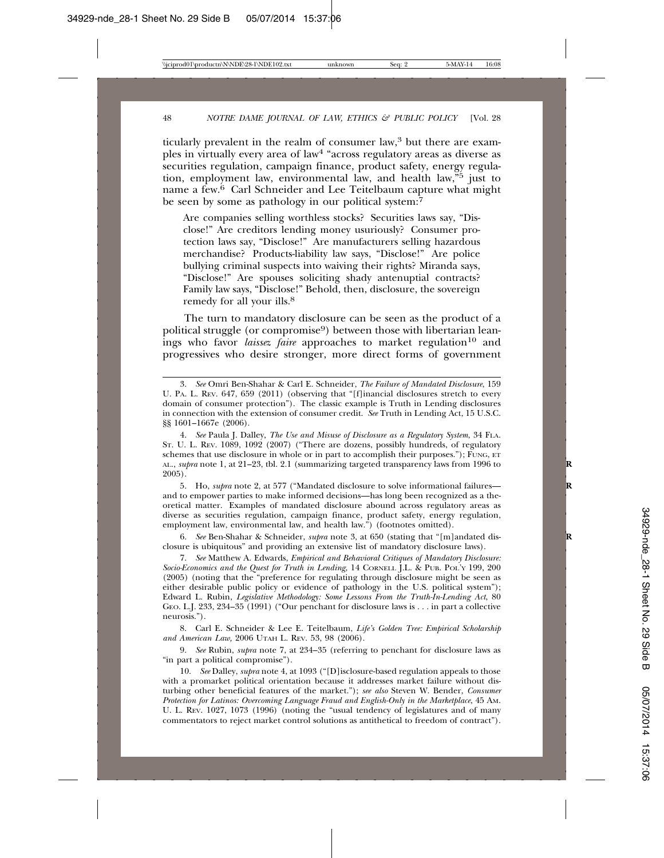ticularly prevalent in the realm of consumer law,<sup>3</sup> but there are examples in virtually every area of law4 "across regulatory areas as diverse as securities regulation, campaign finance, product safety, energy regulation, employment law, environmental law, and health law,"5 just to name a few.<sup>6</sup> Carl Schneider and Lee Teitelbaum capture what might be seen by some as pathology in our political system: $\bar{7}$ 

Are companies selling worthless stocks? Securities laws say, "Disclose!" Are creditors lending money usuriously? Consumer protection laws say, "Disclose!" Are manufacturers selling hazardous merchandise? Products-liability law says, "Disclose!" Are police bullying criminal suspects into waiving their rights? Miranda says, "Disclose!" Are spouses soliciting shady antenuptial contracts? Family law says, "Disclose!" Behold, then, disclosure, the sovereign remedy for all your ills.<sup>8</sup>

The turn to mandatory disclosure can be seen as the product of a political struggle (or compromise<sup>9</sup>) between those with libertarian leanings who favor *laissez faire* approaches to market regulation<sup>10</sup> and progressives who desire stronger, more direct forms of government

5. Ho, *supra* note 2, at 577 ("Mandated disclosure to solve informational failures— **R** and to empower parties to make informed decisions—has long been recognized as a theoretical matter. Examples of mandated disclosure abound across regulatory areas as diverse as securities regulation, campaign finance, product safety, energy regulation, employment law, environmental law, and health law.") (footnotes omitted).

6. *See* Ben-Shahar & Schneider, *supra* note 3, at 650 (stating that "[m]andated dis- **R** closure is ubiquitous" and providing an extensive list of mandatory disclosure laws).

7. *See* Matthew A. Edwards, *Empirical and Behavioral Critiques of Mandatory Disclosure: Socio-Economics and the Quest for Truth in Lending*, 14 CORNELL J.L. & PUB. POL'Y 199, 200 (2005) (noting that the "preference for regulating through disclosure might be seen as either desirable public policy or evidence of pathology in the U.S. political system"); Edward L. Rubin, *Legislative Methodology: Some Lessons From the Truth-In-Lending Act*, 80 GEO. L.J. 233, 234–35 (1991) ("Our penchant for disclosure laws is . . . in part a collective neurosis.").

8. Carl E. Schneider & Lee E. Teitelbaum, *Life's Golden Tree: Empirical Scholarship and American Law,* 2006 UTAH L. REV. 53, 98 (2006).

9. *See* Rubin, *supra* note 7, at 234–35 (referring to penchant for disclosure laws as "in part a political compromise").

10. *See* Dalley, *supra* note 4, at 1093 ("[D]isclosure-based regulation appeals to those with a promarket political orientation because it addresses market failure without disturbing other beneficial features of the market."); *see also* Steven W. Bender, *Consumer Protection for Latinos: Overcoming Language Fraud and English-Only in the Marketplace*, 45 AM. U. L. REV. 1027, 1073 (1996) (noting the "usual tendency of legislatures and of many commentators to reject market control solutions as antithetical to freedom of contract").

<sup>3.</sup> *See* Omri Ben-Shahar & Carl E. Schneider, *The Failure of Mandated Disclosure*, 159 U. PA. L. REV. 647, 659 (2011) (observing that "[f]inancial disclosures stretch to every domain of consumer protection"). The classic example is Truth in Lending disclosures in connection with the extension of consumer credit. *See* Truth in Lending Act, 15 U.S.C. §§ 1601–1667e (2006).

<sup>4.</sup> *See* Paula J. Dalley, *The Use and Misuse of Disclosure as a Regulatory System*, 34 FLA. ST. U. L. REV. 1089, 1092 (2007) ("There are dozens, possibly hundreds, of regulatory schemes that use disclosure in whole or in part to accomplish their purposes."); FUNG, ET AL., *supra* note 1, at 21–23, tbl. 2.1 (summarizing targeted transparency laws from 1996 to **R** 2005).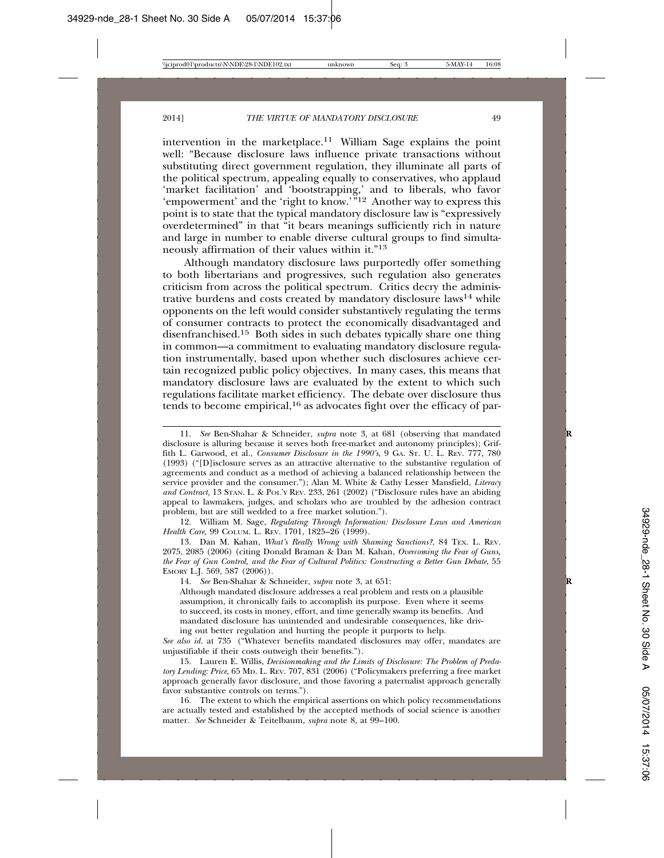intervention in the marketplace.<sup>11</sup> William Sage explains the point well: "Because disclosure laws influence private transactions without substituting direct government regulation, they illuminate all parts of the political spectrum, appealing equally to conservatives, who applaud 'market facilitation' and 'bootstrapping,' and to liberals, who favor 'empowerment' and the 'right to know.'"12 Another way to express this point is to state that the typical mandatory disclosure law is "expressively overdetermined" in that "it bears meanings sufficiently rich in nature and large in number to enable diverse cultural groups to find simultaneously affirmation of their values within it."13

Although mandatory disclosure laws purportedly offer something to both libertarians and progressives, such regulation also generates criticism from across the political spectrum. Critics decry the administrative burdens and costs created by mandatory disclosure laws14 while opponents on the left would consider substantively regulating the terms of consumer contracts to protect the economically disadvantaged and disenfranchised.15 Both sides in such debates typically share one thing in common—a commitment to evaluating mandatory disclosure regulation instrumentally, based upon whether such disclosures achieve certain recognized public policy objectives. In many cases, this means that mandatory disclosure laws are evaluated by the extent to which such regulations facilitate market efficiency. The debate over disclosure thus tends to become empirical,16 as advocates fight over the efficacy of par-

12. William M. Sage, *Regulating Through Information: Disclosure Laws and American Health Care,* 99 COLUM. L. REV. 1701, 1825–26 (1999).

14. *See* Ben-Shahar & Schneider, *supra* note 3, at 651: **R**

Although mandated disclosure addresses a real problem and rests on a plausible assumption, it chronically fails to accomplish its purpose. Even where it seems to succeed, its costs in money, effort, and time generally swamp its benefits. And mandated disclosure has unintended and undesirable consequences, like driving out better regulation and hurting the people it purports to help.

*See also id.* at 735 ("Whatever benefits mandated disclosures may offer, mandates are unjustifiable if their costs outweigh their benefits.").

15. Lauren E. Willis, *Decisionmaking and the Limits of Disclosure: The Problem of Predatory Lending: Price,* 65 MD. L. REV. 707, 831 (2006) ("Policymakers preferring a free market approach generally favor disclosure, and those favoring a paternalist approach generally favor substantive controls on terms.").

16. The extent to which the empirical assertions on which policy recommendations are actually tested and established by the accepted methods of social science is another matter. *See* Schneider & Teitelbaum, *supra* note 8, at 99–100.

<sup>11.</sup> *See* Ben-Shahar & Schneider, *supra* note 3, at 681 (observing that mandated **R** disclosure is alluring because it serves both free-market and autonomy principles); Griffith L. Garwood, et al., *Consumer Disclosure in the 1990's*, 9 GA. ST. U. L. REV. 777, 780 (1993) ("[D]isclosure serves as an attractive alternative to the substantive regulation of agreements and conduct as a method of achieving a balanced relationship between the service provider and the consumer."); Alan M. White & Cathy Lesser Mansfield, *Literacy and Contract,* 13 STAN. L. & POL'Y REV. 233, 261 (2002) ("Disclosure rules have an abiding appeal to lawmakers, judges, and scholars who are troubled by the adhesion contract problem, but are still wedded to a free market solution.").

<sup>13.</sup> Dan M. Kahan, *What's Really Wrong with Shaming Sanctions?*, 84 TEX. L. REV. 2075, 2085 (2006) (citing Donald Braman & Dan M. Kahan, *Overcoming the Fear of Guns, the Fear of Gun Control, and the Fear of Cultural Politics: Constructing a Better Gun Debate*, 55 EMORY L.J. 569, 587 (2006)).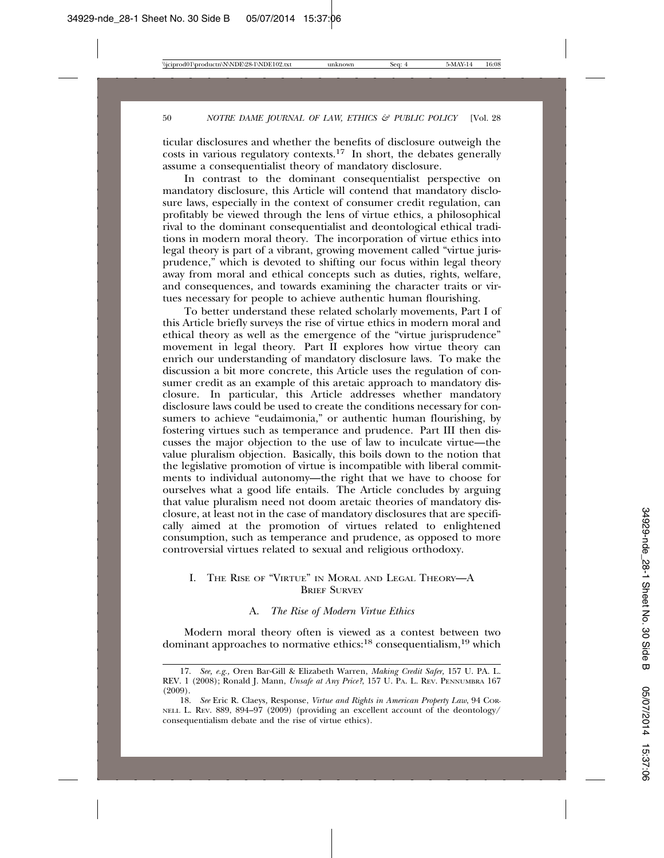ticular disclosures and whether the benefits of disclosure outweigh the costs in various regulatory contexts.<sup>17</sup> In short, the debates generally assume a consequentialist theory of mandatory disclosure.

In contrast to the dominant consequentialist perspective on mandatory disclosure, this Article will contend that mandatory disclosure laws, especially in the context of consumer credit regulation, can profitably be viewed through the lens of virtue ethics, a philosophical rival to the dominant consequentialist and deontological ethical traditions in modern moral theory. The incorporation of virtue ethics into legal theory is part of a vibrant, growing movement called "virtue jurisprudence," which is devoted to shifting our focus within legal theory away from moral and ethical concepts such as duties, rights, welfare, and consequences, and towards examining the character traits or virtues necessary for people to achieve authentic human flourishing.

To better understand these related scholarly movements, Part I of this Article briefly surveys the rise of virtue ethics in modern moral and ethical theory as well as the emergence of the "virtue jurisprudence" movement in legal theory. Part II explores how virtue theory can enrich our understanding of mandatory disclosure laws. To make the discussion a bit more concrete, this Article uses the regulation of consumer credit as an example of this aretaic approach to mandatory disclosure. In particular, this Article addresses whether mandatory disclosure laws could be used to create the conditions necessary for consumers to achieve "eudaimonia," or authentic human flourishing, by fostering virtues such as temperance and prudence. Part III then discusses the major objection to the use of law to inculcate virtue—the value pluralism objection. Basically, this boils down to the notion that the legislative promotion of virtue is incompatible with liberal commitments to individual autonomy—the right that we have to choose for ourselves what a good life entails. The Article concludes by arguing that value pluralism need not doom aretaic theories of mandatory disclosure, at least not in the case of mandatory disclosures that are specifically aimed at the promotion of virtues related to enlightened consumption, such as temperance and prudence, as opposed to more controversial virtues related to sexual and religious orthodoxy.

# I. THE RISE OF "VIRTUE" IN MORAL AND LEGAL THEORY—A **BRIEF SURVEY**

## A. *The Rise of Modern Virtue Ethics*

Modern moral theory often is viewed as a contest between two dominant approaches to normative ethics:18 consequentialism,19 which

<sup>17.</sup> *See, e.g.,* Oren Bar-Gill & Elizabeth Warren, *Making Credit Safer,* 157 U. PA. L. REV. 1 (2008); Ronald J. Mann, *Unsafe at Any Price?*, 157 U. PA. L. REV. PENNUMBRA 167 (2009).

<sup>18.</sup> *See* Eric R. Claeys*,* Response, *Virtue and Rights in American Property Law*, 94 COR-NELL L. REV. 889, 894–97 (2009) (providing an excellent account of the deontology/ consequentialism debate and the rise of virtue ethics).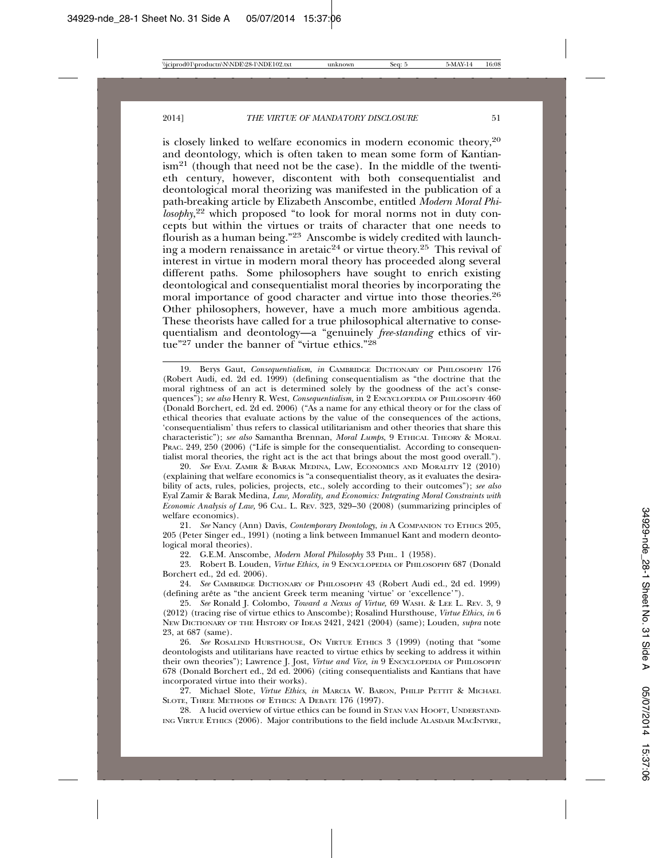is closely linked to welfare economics in modern economic theory,20 and deontology, which is often taken to mean some form of Kantian- $\lim^{21}$  (though that need not be the case). In the middle of the twentieth century, however, discontent with both consequentialist and deontological moral theorizing was manifested in the publication of a path-breaking article by Elizabeth Anscombe, entitled *Modern Moral Philosophy*, 22 which proposed "to look for moral norms not in duty concepts but within the virtues or traits of character that one needs to flourish as a human being."23 Anscombe is widely credited with launching a modern renaissance in aretaic<sup>24</sup> or virtue theory.<sup>25</sup> This revival of interest in virtue in modern moral theory has proceeded along several different paths. Some philosophers have sought to enrich existing deontological and consequentialist moral theories by incorporating the moral importance of good character and virtue into those theories.<sup>26</sup> Other philosophers, however, have a much more ambitious agenda. These theorists have called for a true philosophical alternative to consequentialism and deontology—a "genuinely *free-standing* ethics of virtue"27 under the banner of "virtue ethics."28

20. *See* EYAL ZAMIR & BARAK MEDINA, LAW, ECONOMICS AND MORALITY 12 (2010) (explaining that welfare economics is "a consequentialist theory, as it evaluates the desirability of acts, rules, policies, projects, etc., solely according to their outcomes"); *see also* Eyal Zamir & Barak Medina, *Law, Morality, and Economics: Integrating Moral Constraints with Economic Analysis of Law,* 96 CAL. L. REV. 323, 329–30 (2008) (summarizing principles of welfare economics).

21. *See* Nancy (Ann) Davis, *Contemporary Deontology*, *in* A COMPANION TO ETHICS 205, 205 (Peter Singer ed., 1991) (noting a link between Immanuel Kant and modern deontological moral theories).

22. G.E.M. Anscombe, *Modern Moral Philosophy* 33 PHIL. 1 (1958).

23. Robert B. Louden, *Virtue Ethics, in* 9 ENCYCLOPEDIA OF PHILOSOPHY 687 (Donald Borchert ed., 2d ed. 2006).

24. *See* CAMBRIDGE DICTIONARY OF PHILOSOPHY 43 (Robert Audi ed., 2d ed. 1999) (defining arête as "the ancient Greek term meaning 'virtue' or 'excellence'").

25. *See* Ronald J. Colombo, *Toward a Nexus of Virtue,* 69 WASH. & LEE L. REV. 3, 9 (2012) (tracing rise of virtue ethics to Anscombe); Rosalind Hursthouse, *Virtue Ethics*, *in* 6 NEW DICTIONARY OF THE HISTORY OF IDEAS 2421, 2421 (2004) (same); Louden, *supra* note 23, at 687 (same).

26. *See* ROSALIND HURSTHOUSE, ON VIRTUE ETHICS 3 (1999) (noting that "some deontologists and utilitarians have reacted to virtue ethics by seeking to address it within their own theories"); Lawrence J. Jost, *Virtue and Vice*, *in* 9 ENCYCLOPEDIA OF PHILOSOPHY 678 (Donald Borchert ed., 2d ed. 2006) (citing consequentialists and Kantians that have incorporated virtue into their works).

27. Michael Slote, *Virtue Ethics*, *in* MARCIA W. BARON, PHILIP PETTIT & MICHAEL SLOTE, THREE METHODS OF ETHICS: A DEBATE 176 (1997).

28. A lucid overview of virtue ethics can be found in STAN VAN HOOFT, UNDERSTAND-ING VIRTUE ETHICS (2006). Major contributions to the field include ALASDAIR MACINTYRE,

<sup>19.</sup> Berys Gaut, *Consequentialism*, *in* CAMBRIDGE DICTIONARY OF PHILOSOPHY 176 (Robert Audi, ed. 2d ed. 1999) (defining consequentialism as "the doctrine that the moral rightness of an act is determined solely by the goodness of the act's consequences"); *see also* Henry R. West, *Consequentialism,* in 2 ENCYCLOPEDIA OF PHILOSOPHY 460 (Donald Borchert, ed. 2d ed. 2006) ("As a name for any ethical theory or for the class of ethical theories that evaluate actions by the value of the consequences of the actions, 'consequentialism' thus refers to classical utilitarianism and other theories that share this characteristic"); *see also* Samantha Brennan, *Moral Lumps*, 9 ETHICAL THEORY & MORAL PRAC. 249, 250 (2006) ("Life is simple for the consequentialist. According to consequentialist moral theories, the right act is the act that brings about the most good overall.").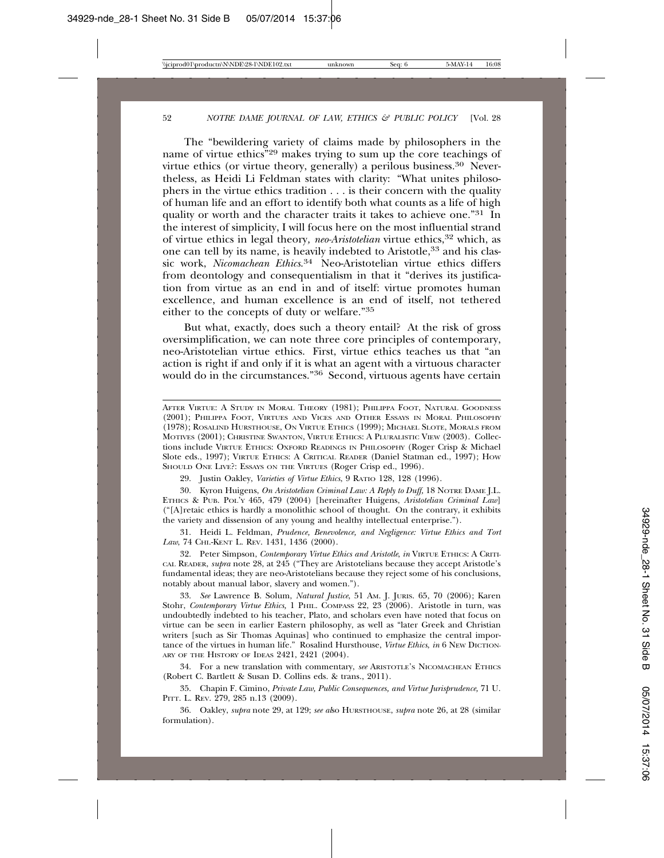The "bewildering variety of claims made by philosophers in the name of virtue ethics"29 makes trying to sum up the core teachings of virtue ethics (or virtue theory, generally) a perilous business.30 Nevertheless, as Heidi Li Feldman states with clarity: "What unites philosophers in the virtue ethics tradition . . . is their concern with the quality of human life and an effort to identify both what counts as a life of high quality or worth and the character traits it takes to achieve one."<sup>31</sup> In the interest of simplicity, I will focus here on the most influential strand of virtue ethics in legal theory*, neo-Aristotelian* virtue ethics,32 which, as one can tell by its name, is heavily indebted to Aristotle,<sup>33</sup> and his classic work, *Nicomachean Ethics*. 34 Neo-Aristotelian virtue ethics differs from deontology and consequentialism in that it "derives its justification from virtue as an end in and of itself: virtue promotes human excellence, and human excellence is an end of itself, not tethered either to the concepts of duty or welfare."35

But what, exactly, does such a theory entail? At the risk of gross oversimplification, we can note three core principles of contemporary, neo-Aristotelian virtue ethics. First, virtue ethics teaches us that "an action is right if and only if it is what an agent with a virtuous character would do in the circumstances."36 Second, virtuous agents have certain

29. Justin Oakley, *Varieties of Virtue Ethics*, 9 RATIO 128, 128 (1996).

30. Kyron Huigens, *On Aristotelian Criminal Law: A Reply to Duff,* 18 NOTRE DAME J.L. ETHICS & PUB. POL'Y 465, 479 (2004) [hereinafter Huigens, *Aristotelian Criminal Law*] ("[A]retaic ethics is hardly a monolithic school of thought. On the contrary, it exhibits the variety and dissension of any young and healthy intellectual enterprise.").

31. Heidi L. Feldman, *Prudence, Benevolence, and Negligence: Virtue Ethics and Tort Law*, 74 CHI.-KENT L. REV. 1431, 1436 (2000).

32. Peter Simpson, *Contemporary Virtue Ethics and Aristotle*, *in* VIRTUE ETHICS: A CRITI-CAL READER, *supra* note 28, at 245 ("They are Aristotelians because they accept Aristotle's fundamental ideas; they are neo-Aristotelians because they reject some of his conclusions, notably about manual labor, slavery and women.").

33. *See* Lawrence B. Solum, *Natural Justice*, 51 AM. J. JURIS. 65, 70 (2006); Karen Stohr, *Contemporary Virtue Ethics,* 1 PHIL. COMPASS 22, 23 (2006). Aristotle in turn, was undoubtedly indebted to his teacher, Plato, and scholars even have noted that focus on virtue can be seen in earlier Eastern philosophy, as well as "later Greek and Christian writers [such as Sir Thomas Aquinas] who continued to emphasize the central importance of the virtues in human life." Rosalind Hursthouse, *Virtue Ethics*, *in* 6 NEW DICTION-ARY OF THE HISTORY OF IDEAS 2421, 2421 (2004).

34. For a new translation with commentary, *see* ARISTOTLE'S NICOMACHEAN ETHICS (Robert C. Bartlett & Susan D. Collins eds. & trans., 2011).

35. Chapin F. Cimino, *Private Law, Public Consequences, and Virtue Jurisprudence,* 71 U. PITT. L. REV. 279, 285 n.13 (2009).

36. Oakley, *supra* note 29, at 129; *see al*so HURSTHOUSE, *supra* note 26, at 28 (similar formulation).

AFTER VIRTUE: A STUDY IN MORAL THEORY (1981); PHILIPPA FOOT, NATURAL GOODNESS (2001); PHILIPPA FOOT, VIRTUES AND VICES AND OTHER ESSAYS IN MORAL PHILOSOPHY (1978); ROSALIND HURSTHOUSE, ON VIRTUE ETHICS (1999); MICHAEL SLOTE, MORALS FROM MOTIVES (2001); CHRISTINE SWANTON, VIRTUE ETHICS: A PLURALISTIC VIEW (2003). Collections include VIRTUE ETHICS: OXFORD READINGS IN PHILOSOPHY (Roger Crisp & Michael Slote eds., 1997); VIRTUE ETHICS: A CRITICAL READER (Daniel Statman ed., 1997); HOW SHOULD ONE LIVE?: ESSAYS ON THE VIRTUES (Roger Crisp ed., 1996).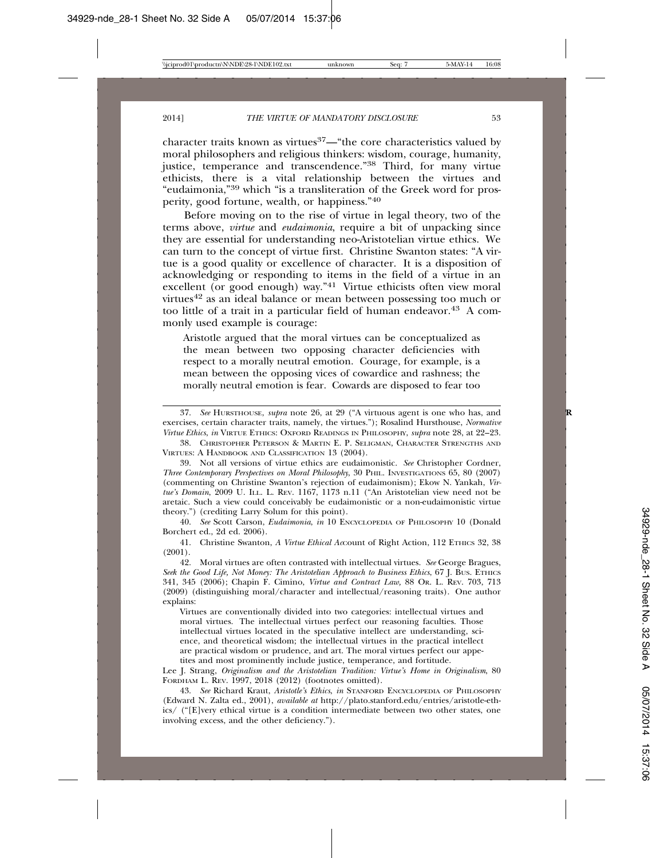character traits known as virtues<sup>37</sup>— "the core characteristics valued by moral philosophers and religious thinkers: wisdom, courage, humanity, justice, temperance and transcendence."38 Third, for many virtue ethicists, there is a vital relationship between the virtues and "eudaimonia,"39 which "is a transliteration of the Greek word for prosperity, good fortune, wealth, or happiness."40

Before moving on to the rise of virtue in legal theory, two of the terms above, *virtue* and *eudaimonia*, require a bit of unpacking since they are essential for understanding neo-Aristotelian virtue ethics. We can turn to the concept of virtue first. Christine Swanton states: "A virtue is a good quality or excellence of character. It is a disposition of acknowledging or responding to items in the field of a virtue in an excellent (or good enough) way."<sup>41</sup> Virtue ethicists often view moral virtues42 as an ideal balance or mean between possessing too much or too little of a trait in a particular field of human endeavor.<sup>43</sup> A commonly used example is courage:

Aristotle argued that the moral virtues can be conceptualized as the mean between two opposing character deficiencies with respect to a morally neutral emotion. Courage, for example, is a mean between the opposing vices of cowardice and rashness; the morally neutral emotion is fear. Cowards are disposed to fear too

39. Not all versions of virtue ethics are eudaimonistic. *See* Christopher Cordner, *Three Contemporary Perspectives on Moral Philosophy*, 30 PHIL. INVESTIGATIONS 65, 80 (2007) (commenting on Christine Swanton's rejection of eudaimonism); Ekow N. Yankah, *Virtue's Domain*, 2009 U. ILL. L. REV. 1167, 1173 n.11 ("An Aristotelian view need not be aretaic. Such a view could conceivably be eudaimonistic or a non-eudaimonistic virtue theory.") (crediting Larry Solum for this point).

40. *See* Scott Carson, *Eudaimonia*, *in* 10 ENCYCLOPEDIA OF PHILOSOPHY 10 (Donald Borchert ed., 2d ed. 2006).

41. Christine Swanton, *A Virtue Ethical Ac*Count of Right Action, 112 ETHICS 32, 38 (2001).

42. Moral virtues are often contrasted with intellectual virtues. *See* George Bragues, *Seek the Good Life, Not Money: The Aristotelian Approach to Business Ethics*, 67 J. BUS. ETHICS 341, 345 (2006); Chapin F. Cimino, *Virtue and Contract Law,* 88 OR. L. REV. 703, 713 (2009) (distinguishing moral/character and intellectual/reasoning traits). One author explains:

Virtues are conventionally divided into two categories: intellectual virtues and moral virtues. The intellectual virtues perfect our reasoning faculties. Those intellectual virtues located in the speculative intellect are understanding, science, and theoretical wisdom; the intellectual virtues in the practical intellect are practical wisdom or prudence, and art. The moral virtues perfect our appetites and most prominently include justice, temperance, and fortitude.

Lee J. Strang, *Originalism and the Aristotelian Tradition: Virtue's Home in Originalism*, 80 FORDHAM L. REV. 1997, 2018 (2012) (footnotes omitted).

43. *See* Richard Kraut, *Aristotle's Ethics*, *in* STANFORD ENCYCLOPEDIA OF PHILOSOPHY (Edward N. Zalta ed., 2001), *available at* http://plato.stanford.edu/entries/aristotle-ethics/ ("[E]very ethical virtue is a condition intermediate between two other states, one involving excess, and the other deficiency.").

<sup>37.</sup> *See* HURSTHOUSE, *supra* note 26, at 29 ("A virtuous agent is one who has, and **R** exercises, certain character traits, namely, the virtues."); Rosalind Hursthouse, *Normative Virtue Ethics*, *in* VIRTUE ETHICS: OXFORD READINGS IN PHILOSOPHY, *supra* note 28, at 22–23.

<sup>38.</sup> CHRISTOPHER PETERSON & MARTIN E. P. SELIGMAN, CHARACTER STRENGTHS AND VIRTUES: A HANDBOOK AND CLASSIFICATION 13 (2004).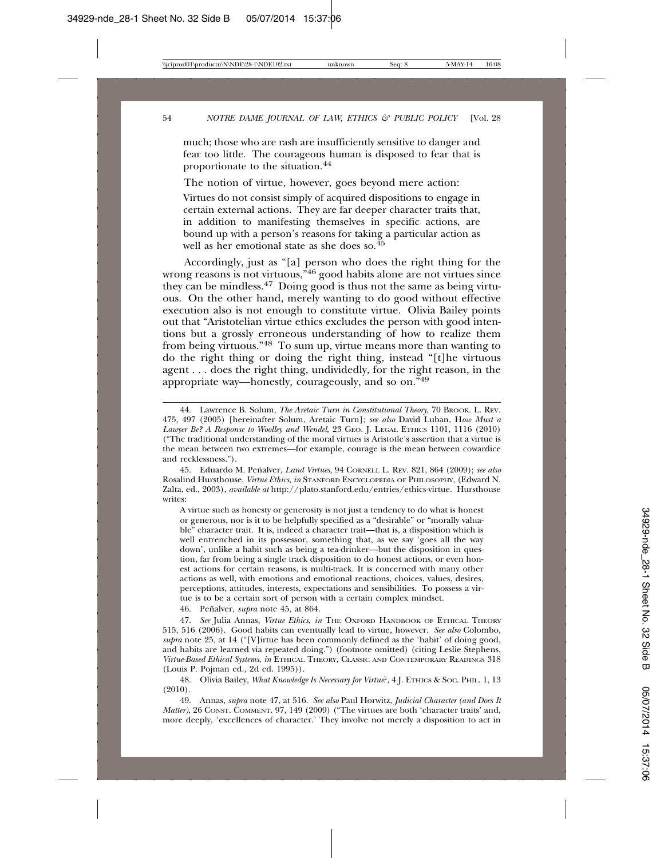much; those who are rash are insufficiently sensitive to danger and fear too little. The courageous human is disposed to fear that is proportionate to the situation.44

The notion of virtue, however, goes beyond mere action:

Virtues do not consist simply of acquired dispositions to engage in certain external actions. They are far deeper character traits that, in addition to manifesting themselves in specific actions, are bound up with a person's reasons for taking a particular action as well as her emotional state as she does so.<sup>45</sup>

Accordingly, just as "[a] person who does the right thing for the wrong reasons is not virtuous,<sup>346</sup> good habits alone are not virtues since they can be mindless.47 Doing good is thus not the same as being virtuous. On the other hand, merely wanting to do good without effective execution also is not enough to constitute virtue. Olivia Bailey points out that "Aristotelian virtue ethics excludes the person with good intentions but a grossly erroneous understanding of how to realize them from being virtuous."<sup>48</sup> To sum up, virtue means more than wanting to do the right thing or doing the right thing, instead "[t]he virtuous agent . . . does the right thing, undividedly, for the right reason, in the appropriate way—honestly, courageously, and so on."49

45. Eduardo M. Penalver, ˜ *Land Virtues*, 94 CORNELL L. REV. 821, 864 (2009); *see also* Rosalind Hursthouse, *Virtue Ethics*, *in* STANFORD ENCYCLOPEDIA OF PHILOSOPHY, (Edward N. Zalta, ed., 2003), *available at* http://plato.stanford.edu/entries/ethics-virtue. Hursthouse writes:

A virtue such as honesty or generosity is not just a tendency to do what is honest or generous, nor is it to be helpfully specified as a "desirable" or "morally valuable" character trait. It is, indeed a character trait—that is, a disposition which is well entrenched in its possessor, something that, as we say 'goes all the way down', unlike a habit such as being a tea-drinker—but the disposition in question, far from being a single track disposition to do honest actions, or even honest actions for certain reasons, is multi-track. It is concerned with many other actions as well, with emotions and emotional reactions, choices, values, desires, perceptions, attitudes, interests, expectations and sensibilities. To possess a virtue is to be a certain sort of person with a certain complex mindset.

46. Penalver, ˜ *supra* note 45, at 864.

47. *See* Julia Annas, *Virtue Ethics*, *in* THE OXFORD HANDBOOK OF ETHICAL THEORY 515, 516 (2006). Good habits can eventually lead to virtue, however. *See also* Colombo, *supra* note 25, at 14 ("[V]irtue has been commonly defined as the 'habit' of doing good, and habits are learned via repeated doing.") (footnote omitted) (citing Leslie Stephens, *Virtue-Based Ethical Systems*, *in* ETHICAL THEORY, CLASSIC AND CONTEMPORARY READINGS 318 (Louis P. Pojman ed., 2d ed. 1995)).

48. Olivia Bailey, *What Knowledge Is Necessary for Virtue*?, 4 J. ETHICS & SOC. PHIL. 1, 13 (2010).

49. Annas, *supra* note 47, at 516. *See also* Paul Horwitz, *Judicial Character (and Does It Matter)*, 26 CONST. COMMENT. 97, 149 (2009) ("The virtues are both 'character traits' and, more deeply, 'excellences of character.' They involve not merely a disposition to act in

<sup>44.</sup> Lawrence B. Solum, *The Aretaic Turn in Constitutional Theory*, 70 BROOK. L. REV. 475, 497 (2005) [hereinafter Solum, Aretaic Turn]; *see also* David Luban, H*ow Must a Lawyer Be? A Response to Woolley and Wendel,* 23 GEO. J. LEGAL ETHICS 1101, 1116 (2010) ("The traditional understanding of the moral virtues is Aristotle's assertion that a virtue is the mean between two extremes—for example, courage is the mean between cowardice and recklessness.").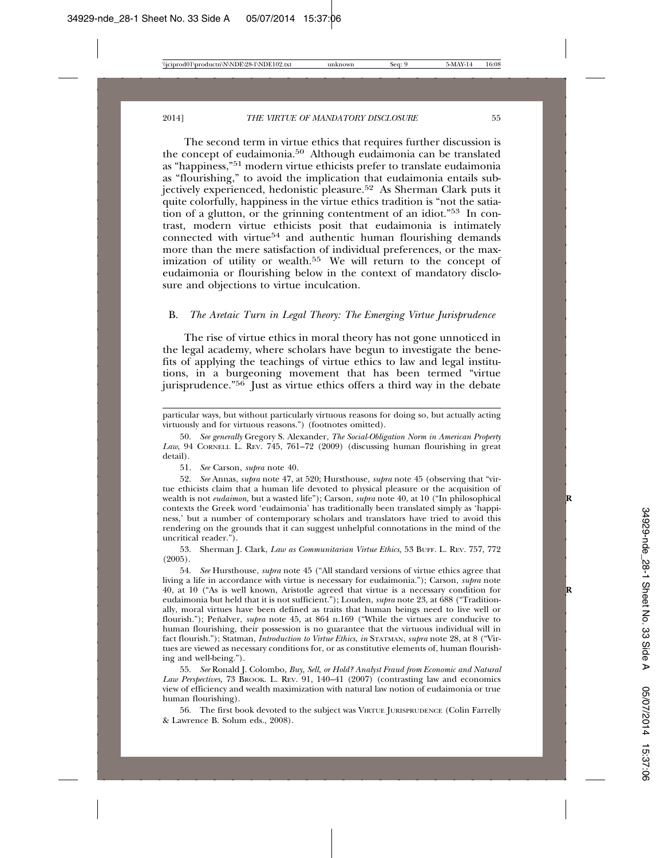The second term in virtue ethics that requires further discussion is the concept of eudaimonia.50 Although eudaimonia can be translated as "happiness,"51 modern virtue ethicists prefer to translate eudaimonia as "flourishing," to avoid the implication that eudaimonia entails subjectively experienced, hedonistic pleasure.52 As Sherman Clark puts it quite colorfully, happiness in the virtue ethics tradition is "not the satiation of a glutton, or the grinning contentment of an idiot."53 In contrast, modern virtue ethicists posit that eudaimonia is intimately  $\mu$  connected with virtue<sup>54</sup> and authentic human flourishing demands more than the mere satisfaction of individual preferences, or the maximization of utility or wealth.55 We will return to the concept of eudaimonia or flourishing below in the context of mandatory disclosure and objections to virtue inculcation.

#### B. *The Aretaic Turn in Legal Theory: The Emerging Virtue Jurisprudence*

The rise of virtue ethics in moral theory has not gone unnoticed in the legal academy, where scholars have begun to investigate the benefits of applying the teachings of virtue ethics to law and legal institutions, in a burgeoning movement that has been termed "virtue jurisprudence." $56$  Just as virtue ethics offers a third way in the debate

51. *See* Carson, *supra* note 40.

52. *See* Annas, *supra* note 47, at 520; Hursthouse, *supra* note 45 (observing that "virtue ethicists claim that a human life devoted to physical pleasure or the acquisition of wealth is not *eudaimon*, but a wasted life"); Carson, *supra* note 40, at 10 ("In philosophical contexts the Greek word 'eudaimonia' has traditionally been translated simply as 'happiness,' but a number of contemporary scholars and translators have tried to avoid this rendering on the grounds that it can suggest unhelpful connotations in the mind of the uncritical reader.").

53. Sherman J. Clark, *Law as Communitarian Virtue Ethics,* 53 BUFF. L. REV. 757, 772 (2005).

54. *See* Hursthouse, *supra* note 45 ("All standard versions of virtue ethics agree that living a life in accordance with virtue is necessary for eudaimonia."); Carson, *supra* note 40, at 10 ("As is well known, Aristotle agreed that virtue is a necessary condition for **R** eudaimonia but held that it is not sufficient."); Louden, *supra* note 23, at 688 ("Traditionally, moral virtues have been defined as traits that human beings need to live well or flourish."); Peñalver, *supra* note 45, at 864 n.169 ("While the virtues are conducive to human flourishing, their possession is no guarantee that the virtuous individual will in fact flourish."); Statman, *Introduction to Virtue Ethics*, *in* STATMAN, *supra* note 28, at 8 ("Virtues are viewed as necessary conditions for, or as constitutive elements of, human flourishing and well-being.").

55. *See* Ronald J. Colombo, *Buy, Sell, or Hold? Analyst Fraud from Economic and Natural* Law Perspectives, 73 BROOK. L. REV. 91, 140–41 (2007) (contrasting law and economics view of efficiency and wealth maximization with natural law notion of eudaimonia or true human flourishing).

56. The first book devoted to the subject was VIRTUE JURISPRUDENCE (Colin Farrelly & Lawrence B. Solum eds., 2008).

particular ways, but without particularly virtuous reasons for doing so, but actually acting virtuously and for virtuous reasons.") (footnotes omitted).

<sup>50.</sup> *See generally* Gregory S. Alexander, *The Social-Obligation Norm in American Property Law*, 94 CORNELL L. REV. 745, 761–72 (2009) (discussing human flourishing in great detail).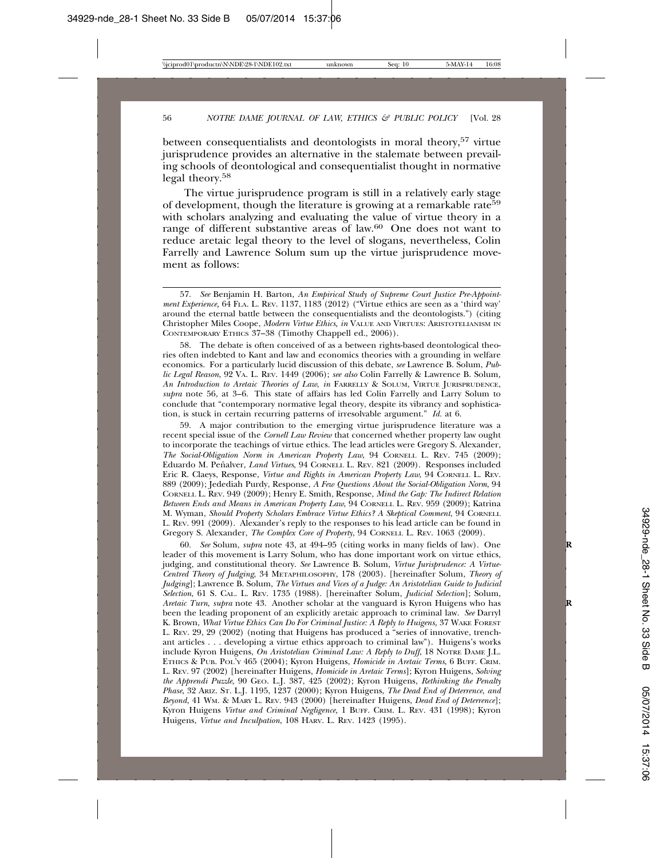between consequentialists and deontologists in moral theory,<sup>57</sup> virtue jurisprudence provides an alternative in the stalemate between prevailing schools of deontological and consequentialist thought in normative legal theory.58

The virtue jurisprudence program is still in a relatively early stage of development, though the literature is growing at a remarkable rate<sup>59</sup> with scholars analyzing and evaluating the value of virtue theory in a range of different substantive areas of law.<sup>60</sup> One does not want to reduce aretaic legal theory to the level of slogans, nevertheless, Colin Farrelly and Lawrence Solum sum up the virtue jurisprudence movement as follows:

58. The debate is often conceived of as a between rights-based deontological theories often indebted to Kant and law and economics theories with a grounding in welfare economics. For a particularly lucid discussion of this debate, *see* Lawrence B. Solum, *Public Legal Reason*, 92 VA. L. REV. 1449 (2006); *see also* Colin Farrelly & Lawrence B. Solum*, An Introduction to Aretaic Theories of Law*, *in* FARRELLY & SOLUM, VIRTUE JURISPRUDENCE, *supra* note 56, at 3–6. This state of affairs has led Colin Farrelly and Larry Solum to conclude that "contemporary normative legal theory, despite its vibrancy and sophistication, is stuck in certain recurring patterns of irresolvable argument." *Id.* at 6.

59. A major contribution to the emerging virtue jurisprudence literature was a recent special issue of the *Cornell Law Review* that concerned whether property law ought to incorporate the teachings of virtue ethics. The lead articles were Gregory S. Alexander, *The Social-Obligation Norm in American Property Law*, 94 CORNELL L. REV. 745 (2009); Eduardo M. Peñalver, *Land Virtues*, 94 CORNELL L. REV. 821 (2009). Responses included Eric R. Claeys, Response, *Virtue and Rights in American Property Law*, 94 CORNELL L. REV. 889 (2009); Jedediah Purdy, Response, *A Few Questions About the Social-Obligation Norm*, 94 CORNELL L. REV. 949 (2009); Henry E. Smith, Response, *Mind the Gap: The Indirect Relation Between Ends and Means in American Property Law*, 94 CORNELL L. REV. 959 (2009); Katrina M. Wyman, *Should Property Scholars Embrace Virtue Ethics? A Skeptical Comment*, 94 CORNELL L. REV. 991 (2009). Alexander's reply to the responses to his lead article can be found in Gregory S. Alexander, *The Complex Core of Property*, 94 CORNELL L. REV. 1063 (2009).

60. *See* Solum, *supra* note 43, at 494–95 (citing works in many fields of law). One **R** leader of this movement is Larry Solum, who has done important work on virtue ethics, judging, and constitutional theory. *See* Lawrence B. Solum, *Virtue Jurisprudence: A Virtue-Centred Theory of Judging*, 34 METAPHILOSOPHY, 178 (2003). [hereinafter Solum, *Theory of Judging*]; Lawrence B. Solum, *The Virtues and Vices of a Judge: An Aristotelian Guide to Judicial Selection*, 61 S. CAL. L. REV. 1735 (1988). [hereinafter Solum, *Judicial Selection*]; Solum, *Aretaic Turn*, *supra* note 43. Another scholar at the vanguard is Kyron Huigens who has **R** been the leading proponent of an explicitly aretaic approach to criminal law. *See* Darryl K. Brown, *What Virtue Ethics Can Do For Criminal Justice: A Reply to Huigens,* 37 WAKE FOREST L. REV. 29, 29 (2002) (noting that Huigens has produced a "series of innovative, trenchant articles . . . developing a virtue ethics approach to criminal law"). Huigens's works include Kyron Huigens, *On Aristotelian Criminal Law: A Reply to Duff*, 18 NOTRE DAME J.L. ETHICS & PUB. POL'Y 465 (2004); Kyron Huigens, *Homicide in Aretaic Terms*, 6 BUFF. CRIM. L. REV. 97 (2002) [hereinafter Huigens, *Homicide in Aretaic Terms*]; Kyron Huigens, *Solving the Apprendi Puzzle*, 90 GEO. L.J. 387, 425 (2002); Kyron Huigens, *Rethinking the Penalty Phase*, 32 ARIZ. ST. L.J. 1195, 1237 (2000); Kyron Huigens, *The Dead End of Deterrence*, *and Beyond*, 41 WM. & MARY L. REV. 943 (2000) [hereinafter Huigens, *Dead End of Deterrence*]; Kyron Huigens *Virtue and Criminal Negligence,* 1 BUFF. CRIM. L. REV. 431 (1998); Kyron Huigens, *Virtue and Inculpation*, 108 HARV. L. REV. 1423 (1995).

<sup>57.</sup> *See* Benjamin H. Barton, *An Empirical Study of Supreme Court Justice Pre-Appointment Experience,* 64 FLA. L. REV. 1137, 1183 (2012) ("Virtue ethics are seen as a 'third way' around the eternal battle between the consequentialists and the deontologists.") (citing Christopher Miles Coope, *Modern Virtue Ethics, in* VALUE AND VIRTUES: ARISTOTELIANISM IN CONTEMPORARY ETHICS 37–38 (Timothy Chappell ed., 2006)).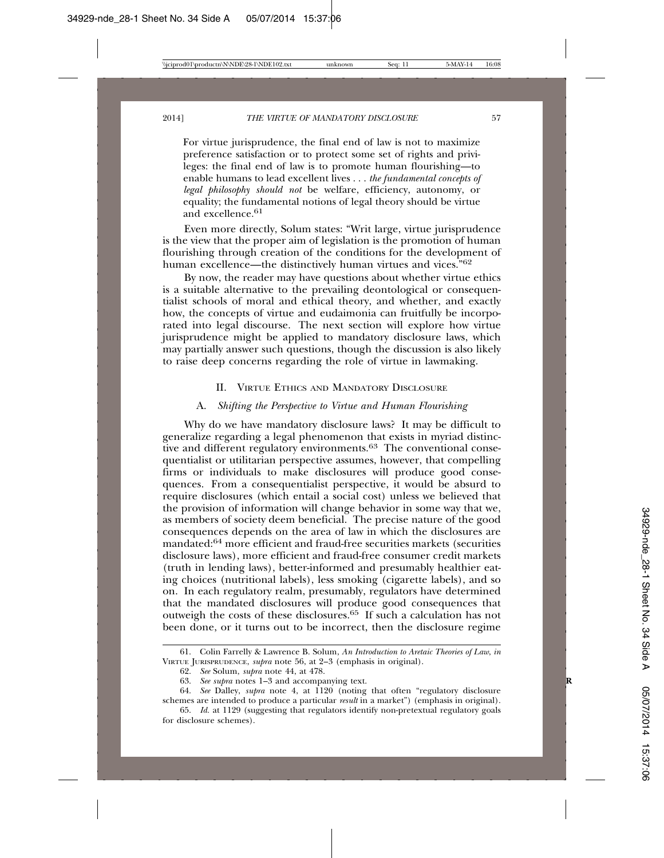For virtue jurisprudence, the final end of law is not to maximize preference satisfaction or to protect some set of rights and privileges: the final end of law is to promote human flourishing—to enable humans to lead excellent lives . . . *the fundamental concepts of legal philosophy should not* be welfare, efficiency, autonomy, or equality; the fundamental notions of legal theory should be virtue and excellence.<sup>61</sup>

Even more directly, Solum states: "Writ large, virtue jurisprudence is the view that the proper aim of legislation is the promotion of human flourishing through creation of the conditions for the development of human excellence—the distinctively human virtues and vices.<sup>762</sup>

By now, the reader may have questions about whether virtue ethics is a suitable alternative to the prevailing deontological or consequentialist schools of moral and ethical theory, and whether, and exactly how, the concepts of virtue and eudaimonia can fruitfully be incorporated into legal discourse. The next section will explore how virtue jurisprudence might be applied to mandatory disclosure laws, which may partially answer such questions, though the discussion is also likely to raise deep concerns regarding the role of virtue in lawmaking.

#### II. VIRTUE ETHICS AND MANDATORY DISCLOSURE

### A. *Shifting the Perspective to Virtue and Human Flourishing*

Why do we have mandatory disclosure laws? It may be difficult to generalize regarding a legal phenomenon that exists in myriad distinctive and different regulatory environments.63 The conventional consequentialist or utilitarian perspective assumes, however, that compelling firms or individuals to make disclosures will produce good consequences. From a consequentialist perspective, it would be absurd to require disclosures (which entail a social cost) unless we believed that the provision of information will change behavior in some way that we, as members of society deem beneficial. The precise nature of the good consequences depends on the area of law in which the disclosures are mandated:64 more efficient and fraud-free securities markets (securities disclosure laws), more efficient and fraud-free consumer credit markets (truth in lending laws), better-informed and presumably healthier eating choices (nutritional labels), less smoking (cigarette labels), and so on. In each regulatory realm, presumably, regulators have determined that the mandated disclosures will produce good consequences that outweigh the costs of these disclosures.65 If such a calculation has not been done, or it turns out to be incorrect, then the disclosure regime

<sup>61.</sup> Colin Farrelly & Lawrence B. Solum, *An Introduction to Aretaic Theories of Law*, *in* VIRTUE JURISPRUDENCE, *supra* note 56, at 2–3 (emphasis in original).

<sup>62.</sup> *See* Solum, *supra* note 44, at 478.

<sup>63.</sup> *See supra* notes 1–3 and accompanying text. **R**

<sup>64.</sup> *See* Dalley, *supra* note 4, at 1120 (noting that often "regulatory disclosure schemes are intended to produce a particular *result* in a market") (emphasis in original).

<sup>65.</sup> *Id.* at 1129 (suggesting that regulators identify non-pretextual regulatory goals for disclosure schemes).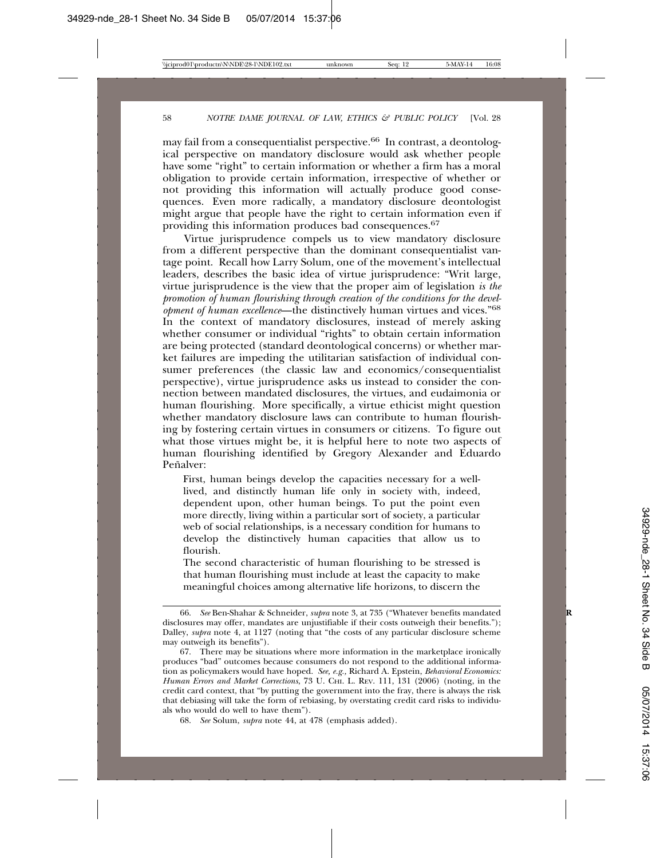may fail from a consequentialist perspective.66 In contrast, a deontological perspective on mandatory disclosure would ask whether people have some "right" to certain information or whether a firm has a moral obligation to provide certain information, irrespective of whether or not providing this information will actually produce good consequences. Even more radically, a mandatory disclosure deontologist might argue that people have the right to certain information even if providing this information produces bad consequences.67

Virtue jurisprudence compels us to view mandatory disclosure from a different perspective than the dominant consequentialist vantage point. Recall how Larry Solum, one of the movement's intellectual leaders, describes the basic idea of virtue jurisprudence: "Writ large, virtue jurisprudence is the view that the proper aim of legislation *is the promotion of human flourishing through creation of the conditions for the development of human excellence*—the distinctively human virtues and vices."<sup>68</sup> In the context of mandatory disclosures, instead of merely asking whether consumer or individual "rights" to obtain certain information are being protected (standard deontological concerns) or whether market failures are impeding the utilitarian satisfaction of individual consumer preferences (the classic law and economics/consequentialist perspective), virtue jurisprudence asks us instead to consider the connection between mandated disclosures, the virtues, and eudaimonia or human flourishing. More specifically, a virtue ethicist might question whether mandatory disclosure laws can contribute to human flourishing by fostering certain virtues in consumers or citizens. To figure out what those virtues might be, it is helpful here to note two aspects of human flourishing identified by Gregory Alexander and Eduardo Peñalver<sup>.</sup>

First, human beings develop the capacities necessary for a welllived, and distinctly human life only in society with, indeed, dependent upon, other human beings. To put the point even more directly, living within a particular sort of society, a particular web of social relationships, is a necessary condition for humans to develop the distinctively human capacities that allow us to flourish.

The second characteristic of human flourishing to be stressed is that human flourishing must include at least the capacity to make meaningful choices among alternative life horizons, to discern the

<sup>66.</sup> *See* Ben-Shahar & Schneider, *supra* note 3, at 735 ("Whatever benefits mandated **R** disclosures may offer, mandates are unjustifiable if their costs outweigh their benefits."); Dalley, *supra* note 4, at 1127 (noting that "the costs of any particular disclosure scheme may outweigh its benefits").

<sup>67.</sup> There may be situations where more information in the marketplace ironically produces "bad" outcomes because consumers do not respond to the additional information as policymakers would have hoped. *See, e.g.,* Richard A. Epstein, *Behavioral Economics: Human Errors and Market Corrections*, 73 U. CHI. L. REV. 111, 131 (2006) (noting, in the credit card context, that "by putting the government into the fray, there is always the risk that debiasing will take the form of rebiasing, by overstating credit card risks to individuals who would do well to have them").

<sup>68.</sup> *See* Solum, *supra* note 44, at 478 (emphasis added).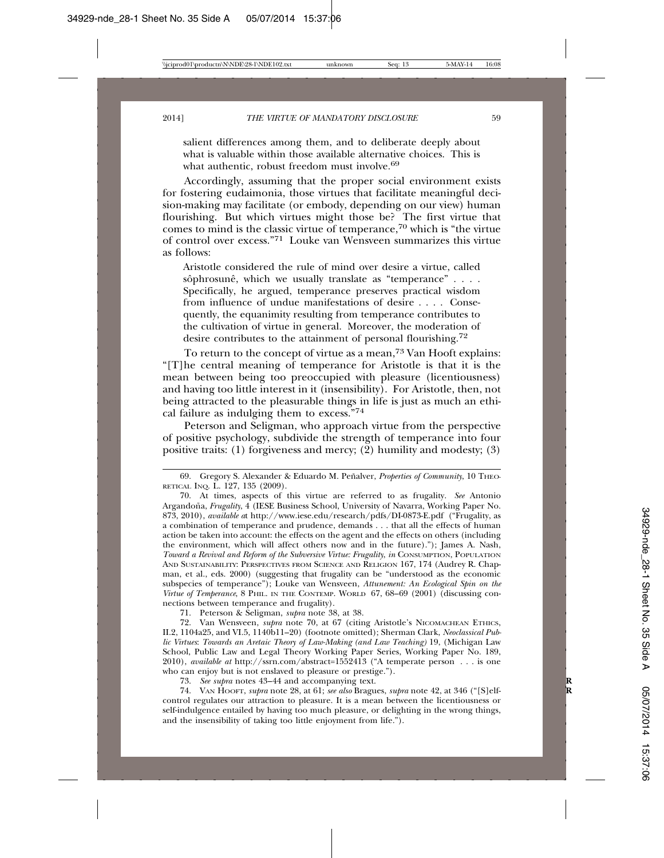salient differences among them, and to deliberate deeply about what is valuable within those available alternative choices. This is what authentic, robust freedom must involve.<sup>69</sup>

Accordingly, assuming that the proper social environment exists for fostering eudaimonia, those virtues that facilitate meaningful decision-making may facilitate (or embody, depending on our view) human flourishing. But which virtues might those be? The first virtue that comes to mind is the classic virtue of temperance,<sup>70</sup> which is "the virtue" of control over excess."71 Louke van Wensveen summarizes this virtue as follows:

Aristotle considered the rule of mind over desire a virtue, called sôphrosunê, which we usually translate as "temperance"  $\ldots$ . Specifically, he argued, temperance preserves practical wisdom from influence of undue manifestations of desire . . . . Consequently, the equanimity resulting from temperance contributes to the cultivation of virtue in general. Moreover, the moderation of desire contributes to the attainment of personal flourishing.<sup>72</sup>

To return to the concept of virtue as a mean,<sup>73</sup> Van Hooft explains: "[T]he central meaning of temperance for Aristotle is that it is the mean between being too preoccupied with pleasure (licentiousness) and having too little interest in it (insensibility). For Aristotle, then, not being attracted to the pleasurable things in life is just as much an ethical failure as indulging them to excess."74

Peterson and Seligman, who approach virtue from the perspective of positive psychology, subdivide the strength of temperance into four positive traits: (1) forgiveness and mercy; (2) humility and modesty; (3)

71. Peterson & Seligman, *supra* note 38, at 38.

72. Van Wensveen, *supra* note 70, at 67 (citing Aristotle's NICOMACHEAN ETHICS, II.2, 1104a25, and VI.5, 1140b11–20) (footnote omitted); Sherman Clark, *Neoclassical Public Virtues*: *Towards an Aretaic Theory of Law-Making (and Law Teaching)* 19, (Michigan Law School, Public Law and Legal Theory Working Paper Series, Working Paper No. 189, 2010), *available at* http://ssrn.com/abstract=1552413 ("A temperate person . . . is one who can enjoy but is not enslaved to pleasure or prestige.").

73. *See supra* notes 43–44 and accompanying text. **R**

74. VAN HOOFT, *supra* note 28, at 61; *see also* Bragues, *supra* note 42, at 346 ("[S]elf- **R** control regulates our attraction to pleasure. It is a mean between the licentiousness or self-indulgence entailed by having too much pleasure, or delighting in the wrong things, and the insensibility of taking too little enjoyment from life.").

<sup>69.</sup> Gregory S. Alexander & Eduardo M. Peñalver, Properties of Community, 10 THEO-RETICAL INQ. L. 127, 135 (2009).

<sup>70.</sup> At times, aspects of this virtue are referred to as frugality. *See* Antonio Argandoña, *Frugality*, 4 (IESE Business School, University of Navarra, Working Paper No. 873, 2010), *available a*t http://www.iese.edu/research/pdfs/DI-0873-E.pdf ("Frugality, as a combination of temperance and prudence, demands . . . that all the effects of human action be taken into account: the effects on the agent and the effects on others (including the environment, which will affect others now and in the future)."); James A. Nash, *Toward a Revival and Reform of the Subversive Virtue: Frugality*, *in* CONSUMPTION, POPULATION AND SUSTAINABILITY: PERSPECTIVES FROM SCIENCE AND RELIGION 167, 174 (Audrey R. Chapman, et al., eds. 2000) (suggesting that frugality can be "understood as the economic subspecies of temperance"); Louke van Wensveen, *Attunement: An Ecological Spin on the Virtue of Temperance*, 8 PHIL. IN THE CONTEMP. WORLD 67, 68–69 (2001) (discussing connections between temperance and frugality).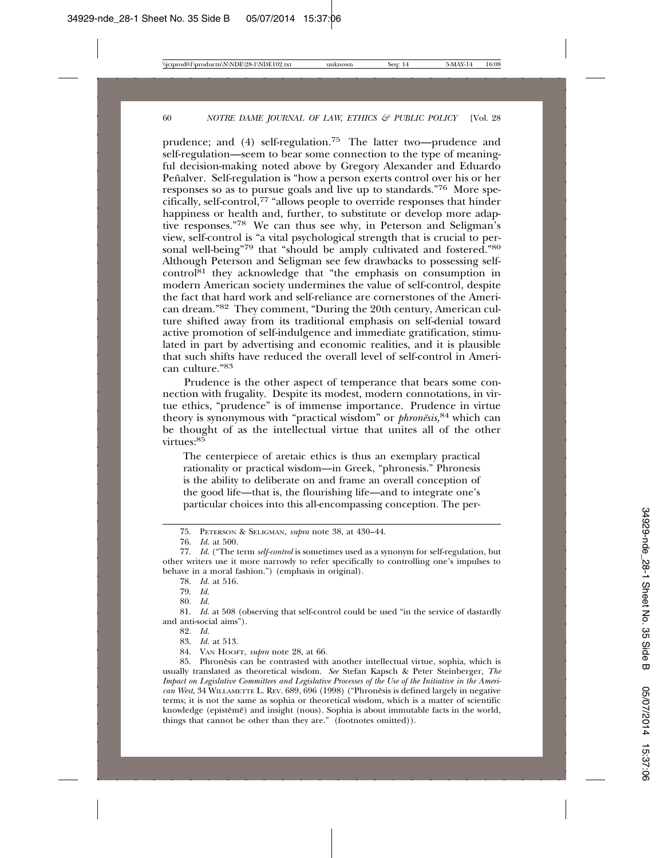prudence; and (4) self-regulation.75 The latter two—prudence and self-regulation—seem to bear some connection to the type of meaningful decision-making noted above by Gregory Alexander and Eduardo Peñalver. Self-regulation is "how a person exerts control over his or her responses so as to pursue goals and live up to standards."76 More specifically, self-control,77 "allows people to override responses that hinder happiness or health and, further, to substitute or develop more adaptive responses."78 We can thus see why, in Peterson and Seligman's view, self-control is "a vital psychological strength that is crucial to personal well-being"79 that "should be amply cultivated and fostered."80 Although Peterson and Seligman see few drawbacks to possessing self $control^{81}$  they acknowledge that "the emphasis on consumption in modern American society undermines the value of self-control, despite the fact that hard work and self-reliance are cornerstones of the American dream."82 They comment, "During the 20th century, American culture shifted away from its traditional emphasis on self-denial toward active promotion of self-indulgence and immediate gratification, stimulated in part by advertising and economic realities, and it is plausible that such shifts have reduced the overall level of self-control in American culture<sup>"83</sup>

Prudence is the other aspect of temperance that bears some connection with frugality. Despite its modest, modern connotations, in virtue ethics, "prudence" is of immense importance. Prudence in virtue theory is synonymous with "practical wisdom" or *phronësis*,<sup>84</sup> which can be thought of as the intellectual virtue that unites all of the other virtues:<sup>85</sup>

The centerpiece of aretaic ethics is thus an exemplary practical rationality or practical wisdom—in Greek, "phronesis." Phronesis is the ability to deliberate on and frame an overall conception of the good life—that is, the flourishing life—and to integrate one's particular choices into this all-encompassing conception. The per-

82. *Id.*

83. *Id.* at 513.

84. VAN HOOFT, *supra* note 28, at 66.

85. Phronesis can be contrasted with another intellectual virtue, sophia, which is usually translated as theoretical wisdom. *See* Stefan Kapsch & Peter Steinberger, *The Impact on Legislative Committees and Legislative Processes of the Use of the Initiative in the American West*, 34 WILLAMETTE L. REV. 689, 696 (1998) ("Phronesis is defined largely in negative ˆ terms; it is not the same as sophia or theoretical wisdom, which is a matter of scientific knowledge (epistêmê) and insight (nous). Sophia is about immutable facts in the world, things that cannot be other than they are." (footnotes omitted)).

<sup>75.</sup> PETERSON & SELIGMAN, *supra* note 38, at 430–44.

<sup>76.</sup> *Id.* at 500.

<sup>77.</sup> *Id.* ("The term *self-control* is sometimes used as a synonym for self-regulation, but other writers use it more narrowly to refer specifically to controlling one's impulses to behave in a moral fashion.") (emphasis in original).

<sup>78.</sup> *Id.* at 516.

<sup>79.</sup> *Id.*

<sup>80.</sup> *Id.*

<sup>81.</sup> *Id.* at 508 (observing that self-control could be used "in the service of dastardly and anti-social aims").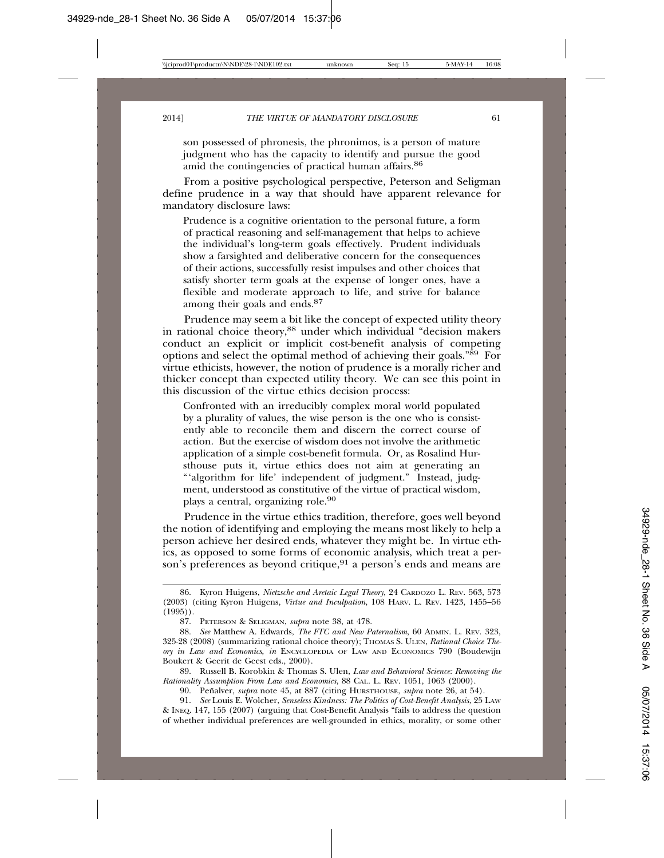son possessed of phronesis, the phronimos, is a person of mature judgment who has the capacity to identify and pursue the good amid the contingencies of practical human affairs.86

From a positive psychological perspective, Peterson and Seligman define prudence in a way that should have apparent relevance for mandatory disclosure laws:

Prudence is a cognitive orientation to the personal future, a form of practical reasoning and self-management that helps to achieve the individual's long-term goals effectively. Prudent individuals show a farsighted and deliberative concern for the consequences of their actions, successfully resist impulses and other choices that satisfy shorter term goals at the expense of longer ones, have a flexible and moderate approach to life, and strive for balance among their goals and ends.87

Prudence may seem a bit like the concept of expected utility theory in rational choice theory,88 under which individual "decision makers conduct an explicit or implicit cost-benefit analysis of competing options and select the optimal method of achieving their goals."89 For virtue ethicists, however, the notion of prudence is a morally richer and thicker concept than expected utility theory. We can see this point in this discussion of the virtue ethics decision process:

Confronted with an irreducibly complex moral world populated by a plurality of values, the wise person is the one who is consistently able to reconcile them and discern the correct course of action. But the exercise of wisdom does not involve the arithmetic application of a simple cost-benefit formula. Or, as Rosalind Hursthouse puts it, virtue ethics does not aim at generating an "'algorithm for life' independent of judgment." Instead, judgment, understood as constitutive of the virtue of practical wisdom, plays a central, organizing role.90

Prudence in the virtue ethics tradition, therefore, goes well beyond the notion of identifying and employing the means most likely to help a person achieve her desired ends, whatever they might be. In virtue ethics, as opposed to some forms of economic analysis, which treat a person's preferences as beyond critique,<sup>91</sup> a person's ends and means are

89. Russell B. Korobkin & Thomas S. Ulen, *Law and Behavioral Science: Removing the Rationality Assumption From Law and Economics*, 88 CAL. L. REV. 1051, 1063 (2000).

90. Peñalver, *supra* note 45, at 887 (citing HURSTHOUSE, *supra* note 26, at 54).

91. *See* Louis E. Wolcher, *Senseless Kindness: The Politics of Cost-Benefit Analysis*, 25 LAW & INEQ. 147, 155 (2007) (arguing that Cost-Benefit Analysis "fails to address the question of whether individual preferences are well-grounded in ethics, morality, or some other

<sup>86.</sup> Kyron Huigens, *Nietzsche and Aretaic Legal Theory*, 24 CARDOZO L. REV. 563, 573 (2003) (citing Kyron Huigens, *Virtue and Inculpation*, 108 HARV. L. REV. 1423, 1455–56 (1995)).

<sup>87.</sup> PETERSON & SELIGMAN, *supra* note 38, at 478.

<sup>88.</sup> *See* Matthew A. Edwards, *The FTC and New Paternalism*, 60 ADMIN. L. REV. 323, 325-28 (2008) (summarizing rational choice theory); THOMAS S. ULEN, *Rational Choice Theory in Law and Economics*, *in* ENCYCLOPEDIA OF LAW AND ECONOMICS 790 (Boudewijn Boukert & Geerit de Geest eds., 2000).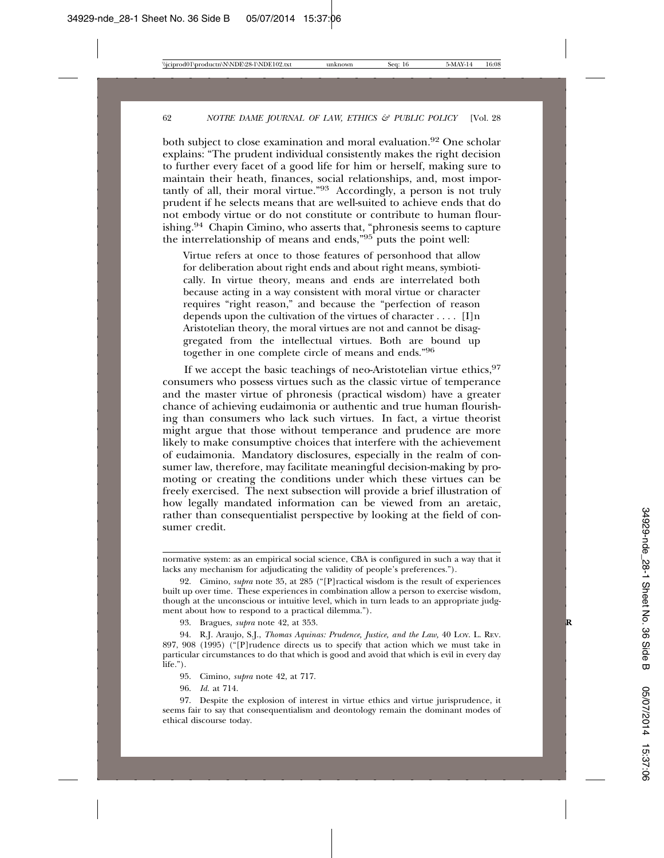both subject to close examination and moral evaluation.<sup>92</sup> One scholar explains: "The prudent individual consistently makes the right decision to further every facet of a good life for him or herself, making sure to maintain their heath, finances, social relationships, and, most importantly of all, their moral virtue."93 Accordingly, a person is not truly prudent if he selects means that are well-suited to achieve ends that do not embody virtue or do not constitute or contribute to human flourishing.94 Chapin Cimino, who asserts that, "phronesis seems to capture the interrelationship of means and ends,"95 puts the point well:

Virtue refers at once to those features of personhood that allow for deliberation about right ends and about right means, symbiotically. In virtue theory, means and ends are interrelated both because acting in a way consistent with moral virtue or character requires "right reason," and because the "perfection of reason depends upon the cultivation of the virtues of character . . . . [I]n Aristotelian theory, the moral virtues are not and cannot be disaggregated from the intellectual virtues. Both are bound up together in one complete circle of means and ends."<sup>96</sup>

If we accept the basic teachings of neo-Aristotelian virtue ethics,  $97$ consumers who possess virtues such as the classic virtue of temperance and the master virtue of phronesis (practical wisdom) have a greater chance of achieving eudaimonia or authentic and true human flourishing than consumers who lack such virtues. In fact, a virtue theorist might argue that those without temperance and prudence are more likely to make consumptive choices that interfere with the achievement of eudaimonia. Mandatory disclosures, especially in the realm of consumer law, therefore, may facilitate meaningful decision-making by promoting or creating the conditions under which these virtues can be freely exercised. The next subsection will provide a brief illustration of how legally mandated information can be viewed from an aretaic, rather than consequentialist perspective by looking at the field of consumer credit.

93. Bragues, *supra* note 42, at 353. **R**

94. R.J. Araujo, S.J., *Thomas Aquinas: Prudence, Justice, and the Law,* 40 LOY. L. REV. 897, 908 (1995) ("[P]rudence directs us to specify that action which we must take in particular circumstances to do that which is good and avoid that which is evil in every day life.").

96. *Id.* at 714.

97. Despite the explosion of interest in virtue ethics and virtue jurisprudence, it seems fair to say that consequentialism and deontology remain the dominant modes of ethical discourse today.

normative system: as an empirical social science, CBA is configured in such a way that it lacks any mechanism for adjudicating the validity of people's preferences.").

<sup>92.</sup> Cimino, *supra* note 35, at 285 ("[P]ractical wisdom is the result of experiences built up over time. These experiences in combination allow a person to exercise wisdom, though at the unconscious or intuitive level, which in turn leads to an appropriate judgment about how to respond to a practical dilemma.").

<sup>95.</sup> Cimino, *supra* note 42, at 717.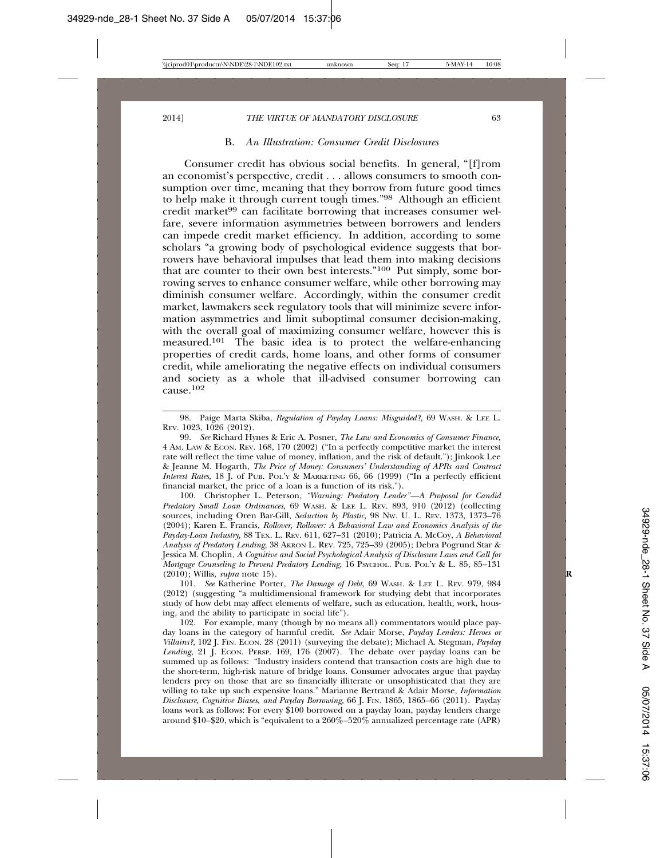#### B. *An Illustration: Consumer Credit Disclosures*

Consumer credit has obvious social benefits. In general, "[f]rom an economist's perspective, credit . . . allows consumers to smooth consumption over time, meaning that they borrow from future good times to help make it through current tough times."98 Although an efficient credit market<sup>99</sup> can facilitate borrowing that increases consumer welfare, severe information asymmetries between borrowers and lenders can impede credit market efficiency. In addition, according to some scholars "a growing body of psychological evidence suggests that borrowers have behavioral impulses that lead them into making decisions that are counter to their own best interests."100 Put simply, some borrowing serves to enhance consumer welfare, while other borrowing may diminish consumer welfare. Accordingly, within the consumer credit market, lawmakers seek regulatory tools that will minimize severe information asymmetries and limit suboptimal consumer decision-making, with the overall goal of maximizing consumer welfare, however this is measured.<sup>101</sup> The basic idea is to protect the welfare-enhancing properties of credit cards, home loans, and other forms of consumer credit, while ameliorating the negative effects on individual consumers and society as a whole that ill-advised consumer borrowing can  $c$ ause. $102$ 

100. Christopher L. Peterson, *"Warning: Predatory Lender"—A Proposal for Candid Predatory Small Loan Ordinances*, 69 WASH. & LEE L. REV. 893, 910 (2012) (collecting sources, including Oren Bar-Gill, *Seduction by Plastic,* 98 NW. U. L. REV. 1373, 1373–76 (2004); Karen E. Francis, *Rollover, Rollover: A Behavioral Law and Economics Analysis of the Payday-Loan Industry,* 88 TEX. L. REV. 611, 627–31 (2010); Patricia A. McCoy, *A Behavioral Analysis of Predatory Lending*, 38 AKRON L. REV. 725, 725–39 (2005); Debra Pogrund Star & Jessica M. Choplin, *A Cognitive and Social Psychological Analysis of Disclosure Laws and Call for Mortgage Counseling to Prevent Predatory Lending*, 16 PSYCHOL. PUB. POL'Y & L. 85, 85-131 (2010); Willis, *supra* note 15). **R**

101. *See* Katherine Porter, *The Damage of Debt*, 69 WASH. & LEE L. REV. 979, 984 (2012) (suggesting "a multidimensional framework for studying debt that incorporates study of how debt may affect elements of welfare, such as education, health, work, housing, and the ability to participate in social life").

102. For example, many (though by no means all) commentators would place payday loans in the category of harmful credit. *See* Adair Morse, *Payday Lenders: Heroes or Villains?*, 102 J. FIN. ECON. 28 (2011) (surveying the debate); Michael A. Stegman, *Payday* Lending, 21 J. ECON. PERSP. 169, 176 (2007). The debate over payday loans can be summed up as follows: "Industry insiders contend that transaction costs are high due to the short-term, high-risk nature of bridge loans. Consumer advocates argue that payday lenders prey on those that are so financially illiterate or unsophisticated that they are willing to take up such expensive loans." Marianne Bertrand & Adair Morse, *Information Disclosure, Cognitive Biases, and Payday Borrowing,* 66 J. FIN. 1865, 1865–66 (2011). Payday loans work as follows: For every \$100 borrowed on a payday loan, payday lenders charge around  $$10$ – $$20$ , which is "equivalent to a  $260\%$ –520% annualized percentage rate (APR)

<sup>98.</sup> Paige Marta Skiba, *Regulation of Payday Loans: Misguided?,* 69 WASH. & LEE L. REV. 1023, 1026 (2012).

<sup>99.</sup> *See* Richard Hynes & Eric A. Posner, *The Law and Economics of Consumer Finance,* 4 AM. LAW & ECON. REV. 168, 170 (2002) ("In a perfectly competitive market the interest rate will reflect the time value of money, inflation, and the risk of default."); Jinkook Lee & Jeanne M. Hogarth, *The Price of Money: Consumers' Understanding of APRs and Contract Interest Rates*, 18 J. of PUB. POL'Y & MARKETING 66, 66 (1999) ("In a perfectly efficient financial market, the price of a loan is a function of its risk.").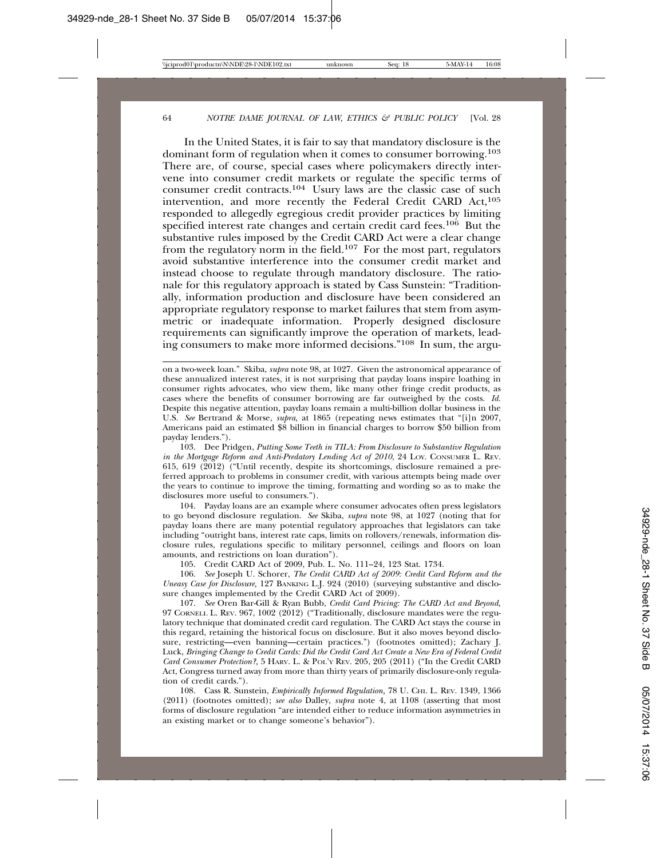In the United States, it is fair to say that mandatory disclosure is the dominant form of regulation when it comes to consumer borrowing.103 There are, of course, special cases where policymakers directly intervene into consumer credit markets or regulate the specific terms of consumer credit contracts.104 Usury laws are the classic case of such intervention, and more recently the Federal Credit CARD Act,<sup>105</sup> responded to allegedly egregious credit provider practices by limiting specified interest rate changes and certain credit card fees.<sup>106</sup> But the substantive rules imposed by the Credit CARD Act were a clear change from the regulatory norm in the field.107 For the most part, regulators avoid substantive interference into the consumer credit market and instead choose to regulate through mandatory disclosure. The rationale for this regulatory approach is stated by Cass Sunstein: "Traditionally, information production and disclosure have been considered an appropriate regulatory response to market failures that stem from asymmetric or inadequate information. Properly designed disclosure requirements can significantly improve the operation of markets, leading consumers to make more informed decisions."108 In sum, the argu-

103. Dee Pridgen, *Putting Some Teeth in TILA: From Disclosure to Substantive Regulation in the Mortgage Reform and Anti-Predatory Lending Act of 2010*, 24 LOY. CONSUMER L. REV. 615, 619 (2012) ("Until recently, despite its shortcomings, disclosure remained a preferred approach to problems in consumer credit, with various attempts being made over the years to continue to improve the timing, formatting and wording so as to make the disclosures more useful to consumers.").

104. Payday loans are an example where consumer advocates often press legislators to go beyond disclosure regulation. *See* Skiba, *supra* note 98, at 1027 (noting that for payday loans there are many potential regulatory approaches that legislators can take including "outright bans, interest rate caps, limits on rollovers/renewals, information disclosure rules, regulations specific to military personnel, ceilings and floors on loan amounts, and restrictions on loan duration").

105. Credit CARD Act of 2009, Pub. L. No. 111–24, 123 Stat. 1734.

106. *See* Joseph U. Schorer, *The Credit CARD Act of 2009: Credit Card Reform and the Uneasy Case for Disclosure,* 127 BANKING L.J. 924 (2010) (surveying substantive and disclosure changes implemented by the Credit CARD Act of 2009).

107. *See* Oren Bar-Gill & Ryan Bubb, *Credit Card Pricing: The CARD Act and Beyond,* 97 CORNELL L. REV. 967, 1002 (2012) ("Traditionally, disclosure mandates were the regulatory technique that dominated credit card regulation. The CARD Act stays the course in this regard, retaining the historical focus on disclosure. But it also moves beyond disclosure, restricting—even banning—certain practices.") (footnotes omitted); Zachary J. Luck, *Bringing Change to Credit Cards: Did the Credit Card Act Create a New Era of Federal Credit Card Consumer Protection?,* 5 HARV. L. & POL'Y REV. 205, 205 (2011) ("In the Credit CARD Act, Congress turned away from more than thirty years of primarily disclosure-only regulation of credit cards.").

108. Cass R. Sunstein, *Empirically Informed Regulation,* 78 U. CHI. L. REV. 1349, 1366 (2011) (footnotes omitted); *see also* Dalley, *supra* note 4, at 1108 (asserting that most forms of disclosure regulation "are intended either to reduce information asymmetries in an existing market or to change someone's behavior").

on a two-week loan." Skiba, *supra* note 98, at 1027. Given the astronomical appearance of these annualized interest rates, it is not surprising that payday loans inspire loathing in consumer rights advocates, who view them, like many other fringe credit products, as cases where the benefits of consumer borrowing are far outweighed by the costs. *Id.* Despite this negative attention, payday loans remain a multi-billion dollar business in the U.S. *See* Bertrand & Morse, *supra,* at 1865 (repeating news estimates that "[i]n 2007, Americans paid an estimated \$8 billion in financial charges to borrow \$50 billion from payday lenders.").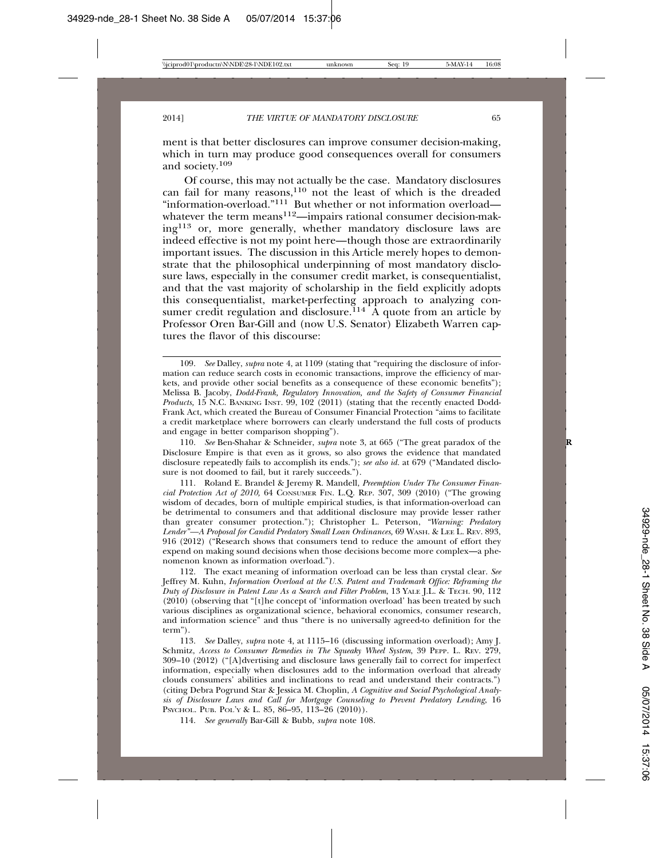ment is that better disclosures can improve consumer decision-making, which in turn may produce good consequences overall for consumers and society.109

Of course, this may not actually be the case. Mandatory disclosures can fail for many reasons, $110$  not the least of which is the dreaded "information-overload."111 But whether or not information overload whatever the term means<sup>112</sup>—impairs rational consumer decision-making113 or, more generally, whether mandatory disclosure laws are indeed effective is not my point here—though those are extraordinarily important issues. The discussion in this Article merely hopes to demonstrate that the philosophical underpinning of most mandatory disclosure laws, especially in the consumer credit market, is consequentialist, and that the vast majority of scholarship in the field explicitly adopts this consequentialist, market-perfecting approach to analyzing consumer credit regulation and disclosure.<sup>114</sup>  $A$  quote from an article by Professor Oren Bar-Gill and (now U.S. Senator) Elizabeth Warren captures the flavor of this discourse:

112. The exact meaning of information overload can be less than crystal clear. *See* Jeffrey M. Kuhn, *Information Overload at the U.S. Patent and Trademark Office: Reframing the Duty of Disclosure in Patent Law As a Search and Filter Problem*, 13 YALE J.L. & TECH. 90, 112 (2010) (observing that "[t]he concept of 'information overload' has been treated by such various disciplines as organizational science, behavioral economics, consumer research, and information science" and thus "there is no universally agreed-to definition for the term").

113. *See* Dalley, *supra* note 4, at 1115–16 (discussing information overload); Amy J. Schmitz, *Access to Consumer Remedies in The Squeaky Wheel System*, 39 PEPP. L. REV. 279, 309–10 (2012) ("[A]dvertising and disclosure laws generally fail to correct for imperfect information, especially when disclosures add to the information overload that already clouds consumers' abilities and inclinations to read and understand their contracts.") (citing Debra Pogrund Star & Jessica M. Choplin, *A Cognitive and Social Psychological Analysis of Disclosure Laws and Call for Mortgage Counseling to Prevent Predatory Lending*, 16 PSYCHOL. PUB. POL'Y & L. 85, 86–95, 113–26 (2010)).

114. *See generally* Bar-Gill & Bubb, *supra* note 108.

<sup>109.</sup> *See* Dalley, *supra* note 4, at 1109 (stating that "requiring the disclosure of information can reduce search costs in economic transactions, improve the efficiency of markets, and provide other social benefits as a consequence of these economic benefits"); Melissa B. Jacoby, *Dodd-Frank, Regulatory Innovation, and the Safety of Consumer Financial Products,* 15 N.C. BANKING INST. 99, 102 (2011) (stating that the recently enacted Dodd-Frank Act, which created the Bureau of Consumer Financial Protection "aims to facilitate a credit marketplace where borrowers can clearly understand the full costs of products and engage in better comparison shopping").

<sup>110.</sup> *See* Ben-Shahar & Schneider, *supra* note 3, at 665 ("The great paradox of the **R** Disclosure Empire is that even as it grows, so also grows the evidence that mandated disclosure repeatedly fails to accomplish its ends."); *see also id.* at 679 ("Mandated disclosure is not doomed to fail, but it rarely succeeds.").

<sup>111.</sup> Roland E. Brandel & Jeremy R. Mandell, *Preemption Under The Consumer Financial Protection Act of 2010,* 64 CONSUMER FIN. L.Q. REP. 307, 309 (2010) ("The growing wisdom of decades, born of multiple empirical studies, is that information-overload can be detrimental to consumers and that additional disclosure may provide lesser rather than greater consumer protection."); Christopher L. Peterson, *"Warning: Predatory Lender"—A Proposal for Candid Predatory Small Loan Ordinances,* 69 WASH. & LEE L. REV. 893, 916 (2012) ("Research shows that consumers tend to reduce the amount of effort they expend on making sound decisions when those decisions become more complex—a phenomenon known as information overload.").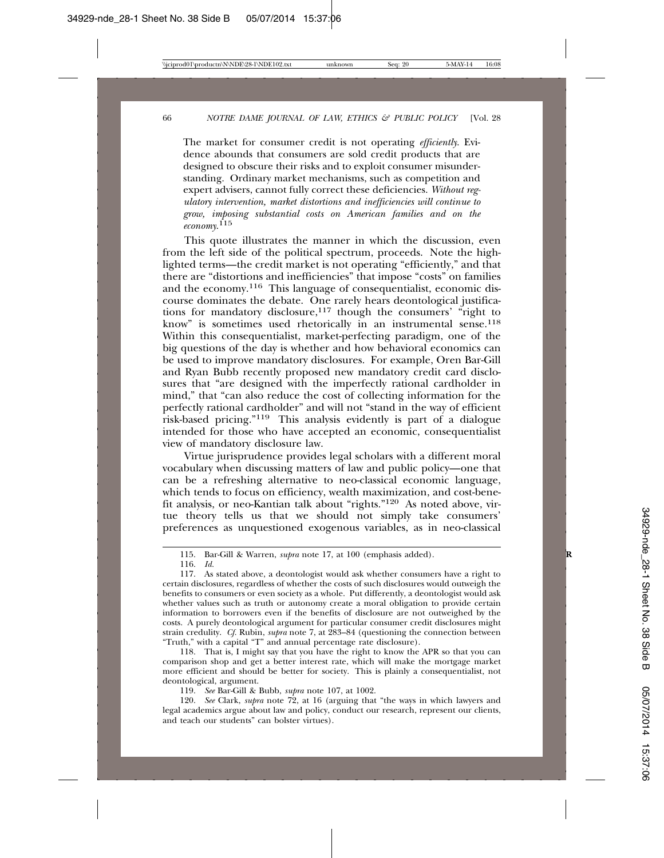The market for consumer credit is not operating *efficiently*. Evidence abounds that consumers are sold credit products that are designed to obscure their risks and to exploit consumer misunderstanding. Ordinary market mechanisms, such as competition and expert advisers, cannot fully correct these deficiencies. *Without regulatory intervention, market distortions and inefficiencies will continue to grow, imposing substantial costs on American families and on the economy*. 115

This quote illustrates the manner in which the discussion, even from the left side of the political spectrum, proceeds. Note the highlighted terms—the credit market is not operating "efficiently," and that there are "distortions and inefficiencies" that impose "costs" on families and the economy.116 This language of consequentialist, economic discourse dominates the debate. One rarely hears deontological justifications for mandatory disclosure,<sup>117</sup> though the consumers' "right to know" is sometimes used rhetorically in an instrumental sense.<sup>118</sup> Within this consequentialist, market-perfecting paradigm, one of the big questions of the day is whether and how behavioral economics can be used to improve mandatory disclosures. For example, Oren Bar-Gill and Ryan Bubb recently proposed new mandatory credit card disclosures that "are designed with the imperfectly rational cardholder in mind," that "can also reduce the cost of collecting information for the perfectly rational cardholder" and will not "stand in the way of efficient risk-based pricing."119 This analysis evidently is part of a dialogue intended for those who have accepted an economic, consequentialist view of mandatory disclosure law.

Virtue jurisprudence provides legal scholars with a different moral vocabulary when discussing matters of law and public policy—one that can be a refreshing alternative to neo-classical economic language, which tends to focus on efficiency, wealth maximization, and cost-benefit analysis, or neo-Kantian talk about "rights."120 As noted above, virtue theory tells us that we should not simply take consumers' preferences as unquestioned exogenous variables, as in neo-classical

118. That is, I might say that you have the right to know the APR so that you can comparison shop and get a better interest rate, which will make the mortgage market more efficient and should be better for society. This is plainly a consequentialist, not deontological, argument.

119. *See* Bar-Gill & Bubb, *supra* note 107, at 1002.

120. *See* Clark, *supra* note 72, at 16 (arguing that "the ways in which lawyers and legal academics argue about law and policy, conduct our research, represent our clients, and teach our students" can bolster virtues).

<sup>115.</sup> Bar-Gill & Warren, *supra* note 17, at 100 (emphasis added). **R**

<sup>116.</sup> *Id.*

<sup>117.</sup> As stated above, a deontologist would ask whether consumers have a right to certain disclosures, regardless of whether the costs of such disclosures would outweigh the benefits to consumers or even society as a whole. Put differently, a deontologist would ask whether values such as truth or autonomy create a moral obligation to provide certain information to borrowers even if the benefits of disclosure are not outweighed by the costs. A purely deontological argument for particular consumer credit disclosures might strain credulity. *Cf.* Rubin, *supra* note 7, at 283–84 (questioning the connection between "Truth," with a capital "T" and annual percentage rate disclosure).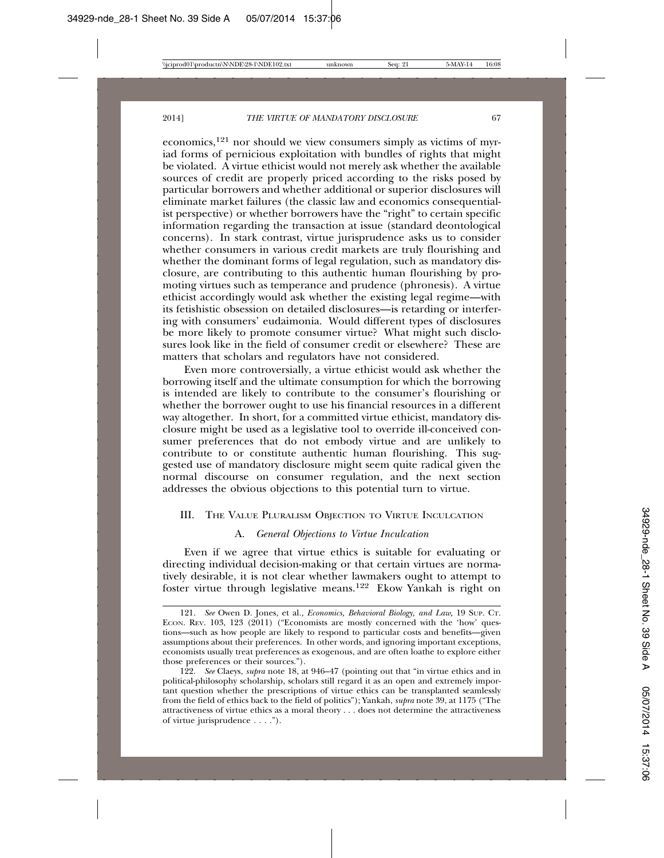economics,121 nor should we view consumers simply as victims of myriad forms of pernicious exploitation with bundles of rights that might be violated. A virtue ethicist would not merely ask whether the available sources of credit are properly priced according to the risks posed by particular borrowers and whether additional or superior disclosures will eliminate market failures (the classic law and economics consequentialist perspective) or whether borrowers have the "right" to certain specific information regarding the transaction at issue (standard deontological concerns). In stark contrast, virtue jurisprudence asks us to consider whether consumers in various credit markets are truly flourishing and whether the dominant forms of legal regulation, such as mandatory disclosure, are contributing to this authentic human flourishing by promoting virtues such as temperance and prudence (phronesis). A virtue ethicist accordingly would ask whether the existing legal regime—with its fetishistic obsession on detailed disclosures—is retarding or interfering with consumers' eudaimonia. Would different types of disclosures be more likely to promote consumer virtue? What might such disclosures look like in the field of consumer credit or elsewhere? These are matters that scholars and regulators have not considered.

Even more controversially, a virtue ethicist would ask whether the borrowing itself and the ultimate consumption for which the borrowing is intended are likely to contribute to the consumer's flourishing or whether the borrower ought to use his financial resources in a different way altogether. In short, for a committed virtue ethicist, mandatory disclosure might be used as a legislative tool to override ill-conceived consumer preferences that do not embody virtue and are unlikely to contribute to or constitute authentic human flourishing. This suggested use of mandatory disclosure might seem quite radical given the normal discourse on consumer regulation, and the next section addresses the obvious objections to this potential turn to virtue.

#### III. THE VALUE PLURALISM OBJECTION TO VIRTUE INCULCATION

#### A. *General Objections to Virtue Inculcation*

Even if we agree that virtue ethics is suitable for evaluating or directing individual decision-making or that certain virtues are normatively desirable, it is not clear whether lawmakers ought to attempt to foster virtue through legislative means.122 Ekow Yankah is right on

<sup>121.</sup> *See* Owen D. Jones, et al.*, Economics, Behavioral Biology, and Law,* 19 SUP. CT. ECON. REV. 103, 123 (2011) ("Economists are mostly concerned with the 'how' questions—such as how people are likely to respond to particular costs and benefits—given assumptions about their preferences. In other words, and ignoring important exceptions, economists usually treat preferences as exogenous, and are often loathe to explore either those preferences or their sources.").

<sup>122.</sup> *See* Claeys, *supra* note 18, at 946–47 (pointing out that "in virtue ethics and in political-philosophy scholarship, scholars still regard it as an open and extremely important question whether the prescriptions of virtue ethics can be transplanted seamlessly from the field of ethics back to the field of politics"); Yankah, *supra* note 39, at 1175 ("The attractiveness of virtue ethics as a moral theory . . . does not determine the attractiveness of virtue jurisprudence . . . .").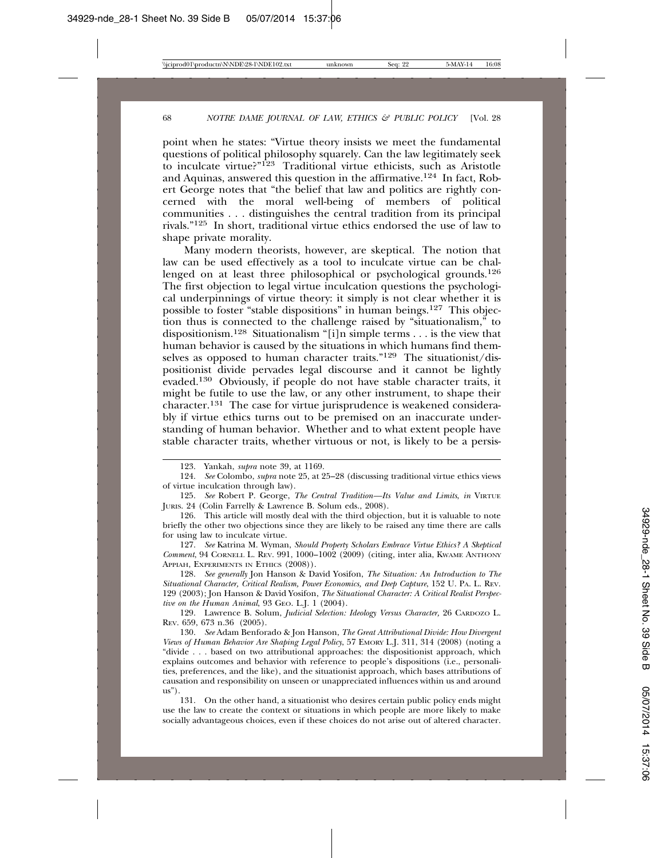point when he states: "Virtue theory insists we meet the fundamental questions of political philosophy squarely. Can the law legitimately seek to inculcate virtue?"123 Traditional virtue ethicists, such as Aristotle and Aquinas, answered this question in the affirmative.124 In fact, Robert George notes that "the belief that law and politics are rightly concerned with the moral well-being of members of political communities . . . distinguishes the central tradition from its principal rivals."125 In short, traditional virtue ethics endorsed the use of law to shape private morality.

Many modern theorists, however, are skeptical. The notion that law can be used effectively as a tool to inculcate virtue can be challenged on at least three philosophical or psychological grounds.<sup>126</sup> The first objection to legal virtue inculcation questions the psychological underpinnings of virtue theory: it simply is not clear whether it is possible to foster "stable dispositions" in human beings.<sup>127</sup> This objection thus is connected to the challenge raised by "situationalism," to dispositionism.128 Situationalism "[i]n simple terms . . . is the view that human behavior is caused by the situations in which humans find themselves as opposed to human character traits."129 The situationist/dispositionist divide pervades legal discourse and it cannot be lightly evaded.130 Obviously, if people do not have stable character traits, it might be futile to use the law, or any other instrument, to shape their character.131 The case for virtue jurisprudence is weakened considerably if virtue ethics turns out to be premised on an inaccurate understanding of human behavior. Whether and to what extent people have stable character traits, whether virtuous or not, is likely to be a persis-

127. *See* Katrina M. Wyman, *Should Property Scholars Embrace Virtue Ethics? A Skeptical Comment*, 94 CORNELL L. REV. 991, 1000–1002 (2009) (citing, inter alia, KWAME ANTHONY APPIAH, EXPERIMENTS IN ETHICS (2008)).

128. *See generally* Jon Hanson & David Yosifon, *The Situation: An Introduction to The Situational Character, Critical Realism, Power Economics, and Deep Capture*, 152 U. PA. L. REV. 129 (2003); Jon Hanson & David Yosifon, *The Situational Character: A Critical Realist Perspective on the Human Animal*, 93 GEO. L.J. 1 (2004).

129. Lawrence B. Solum, *Judicial Selection: Ideology Versus Character,* 26 CARDOZO L. REV. 659, 673 n.36 (2005).

130. *See* Adam Benforado & Jon Hanson, *The Great Attributional Divide: How Divergent Views of Human Behavior Are Shaping Legal Policy*, 57 EMORY L.J. 311, 314 (2008) (noting a "divide . . . based on two attributional approaches: the dispositionist approach, which explains outcomes and behavior with reference to people's dispositions (i.e., personalities, preferences, and the like), and the situationist approach, which bases attributions of causation and responsibility on unseen or unappreciated influences within us and around us").

131. On the other hand, a situationist who desires certain public policy ends might use the law to create the context or situations in which people are more likely to make socially advantageous choices, even if these choices do not arise out of altered character.

<sup>123.</sup> Yankah, *supra* note 39, at 1169.

<sup>124.</sup> *See* Colombo, *supra* note 25, at 25–28 (discussing traditional virtue ethics views of virtue inculcation through law).

<sup>125.</sup> *See* Robert P. George, *The Central Tradition—Its Value and Limits*, *in* VIRTUE JURIS. 24 (Colin Farrelly & Lawrence B. Solum eds., 2008).

<sup>126.</sup> This article will mostly deal with the third objection, but it is valuable to note briefly the other two objections since they are likely to be raised any time there are calls for using law to inculcate virtue.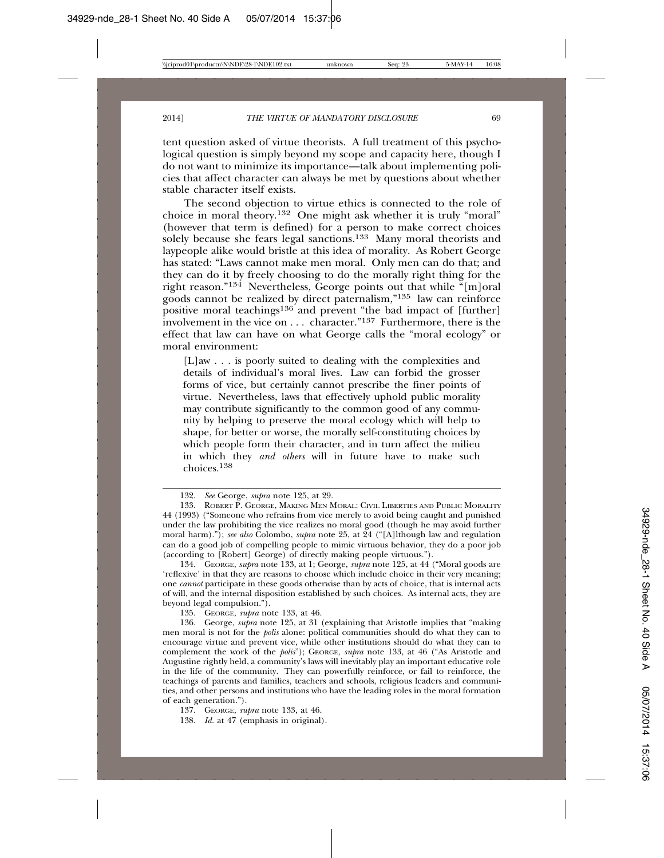tent question asked of virtue theorists. A full treatment of this psychological question is simply beyond my scope and capacity here, though I do not want to minimize its importance—talk about implementing policies that affect character can always be met by questions about whether stable character itself exists.

The second objection to virtue ethics is connected to the role of choice in moral theory.132 One might ask whether it is truly "moral" (however that term is defined) for a person to make correct choices solely because she fears legal sanctions.133 Many moral theorists and laypeople alike would bristle at this idea of morality. As Robert George has stated: "Laws cannot make men moral. Only men can do that; and they can do it by freely choosing to do the morally right thing for the right reason."134 Nevertheless, George points out that while "[m]oral goods cannot be realized by direct paternalism,"135 law can reinforce positive moral teachings<sup>136</sup> and prevent "the bad impact of [further] involvement in the vice on . . . character."137 Furthermore, there is the effect that law can have on what George calls the "moral ecology" or moral environment:

[L]aw . . . is poorly suited to dealing with the complexities and details of individual's moral lives. Law can forbid the grosser forms of vice, but certainly cannot prescribe the finer points of virtue. Nevertheless, laws that effectively uphold public morality may contribute significantly to the common good of any community by helping to preserve the moral ecology which will help to shape, for better or worse, the morally self-constituting choices by which people form their character, and in turn affect the milieu in which they *and others* will in future have to make such choices.<sup>138</sup>

134. GEORGE, *supra* note 133, at 1; George, *supra* note 125, at 44 ("Moral goods are 'reflexive' in that they are reasons to choose which include choice in their very meaning; one *cannot* participate in these goods otherwise than by acts of choice, that is internal acts of will, and the internal disposition established by such choices. As internal acts, they are beyond legal compulsion.").

135. GEORGE, *supra* note 133, at 46.

136. George, *supra* note 125, at 31 (explaining that Aristotle implies that "making men moral is not for the *polis* alone: political communities should do what they can to encourage virtue and prevent vice, while other institutions should do what they can to complement the work of the *polis*"); GEORGE, *supra* note 133, at 46 ("As Aristotle and Augustine rightly held, a community's laws will inevitably play an important educative role in the life of the community. They can powerfully reinforce, or fail to reinforce, the teachings of parents and families, teachers and schools, religious leaders and communities, and other persons and institutions who have the leading roles in the moral formation of each generation.").

137. GEORGE, *supra* note 133, at 46.

138. *Id.* at 47 (emphasis in original).

<sup>132.</sup> *See* George, *supra* note 125, at 29.

<sup>133.</sup> ROBERT P. GEORGE, MAKING MEN MORAL: CIVIL LIBERTIES AND PUBLIC MORALITY 44 (1993) ("Someone who refrains from vice merely to avoid being caught and punished under the law prohibiting the vice realizes no moral good (though he may avoid further moral harm)."); *see also* Colombo, *supra* note 25, at 24 ("[A]lthough law and regulation can do a good job of compelling people to mimic virtuous behavior, they do a poor job (according to [Robert] George) of directly making people virtuous.").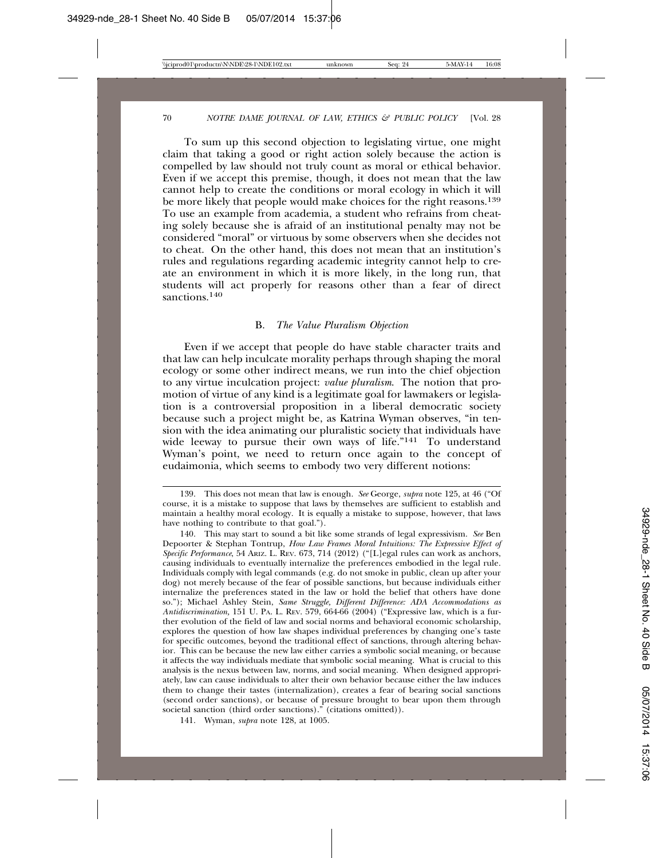To sum up this second objection to legislating virtue, one might claim that taking a good or right action solely because the action is compelled by law should not truly count as moral or ethical behavior. Even if we accept this premise, though, it does not mean that the law cannot help to create the conditions or moral ecology in which it will be more likely that people would make choices for the right reasons.<sup>139</sup> To use an example from academia, a student who refrains from cheating solely because she is afraid of an institutional penalty may not be considered "moral" or virtuous by some observers when she decides not to cheat. On the other hand, this does not mean that an institution's rules and regulations regarding academic integrity cannot help to create an environment in which it is more likely, in the long run, that students will act properly for reasons other than a fear of direct sanctions.<sup>140</sup>

#### B. *The Value Pluralism Objection*

Even if we accept that people do have stable character traits and that law can help inculcate morality perhaps through shaping the moral ecology or some other indirect means, we run into the chief objection to any virtue inculcation project: *value pluralism*. The notion that promotion of virtue of any kind is a legitimate goal for lawmakers or legislation is a controversial proposition in a liberal democratic society because such a project might be, as Katrina Wyman observes, "in tension with the idea animating our pluralistic society that individuals have wide leeway to pursue their own ways of life."141 To understand Wyman's point, we need to return once again to the concept of eudaimonia, which seems to embody two very different notions:

<sup>139.</sup> This does not mean that law is enough. *See* George, *supra* note 125, at 46 ("Of course, it is a mistake to suppose that laws by themselves are sufficient to establish and maintain a healthy moral ecology. It is equally a mistake to suppose, however, that laws have nothing to contribute to that goal.").

<sup>140.</sup> This may start to sound a bit like some strands of legal expressivism. *See* Ben Depoorter & Stephan Tontrup, *How Law Frames Moral Intuitions: The Expressive Effect of Specific Performance*, 54 ARIZ. L. REV. 673, 714 (2012) ("[L]egal rules can work as anchors, causing individuals to eventually internalize the preferences embodied in the legal rule. Individuals comply with legal commands (e.g. do not smoke in public, clean up after your dog) not merely because of the fear of possible sanctions, but because individuals either internalize the preferences stated in the law or hold the belief that others have done so."); Michael Ashley Stein, *Same Struggle, Different Difference: ADA Accommodations as Antidiscrimination,* 151 U. PA. L. REV. 579, 664-66 (2004) ("Expressive law, which is a further evolution of the field of law and social norms and behavioral economic scholarship, explores the question of how law shapes individual preferences by changing one's taste for specific outcomes, beyond the traditional effect of sanctions, through altering behavior. This can be because the new law either carries a symbolic social meaning, or because it affects the way individuals mediate that symbolic social meaning. What is crucial to this analysis is the nexus between law, norms, and social meaning. When designed appropriately, law can cause individuals to alter their own behavior because either the law induces them to change their tastes (internalization), creates a fear of bearing social sanctions (second order sanctions), or because of pressure brought to bear upon them through societal sanction (third order sanctions)." (citations omitted)).

<sup>141.</sup> Wyman, *supra* note 128, at 1005.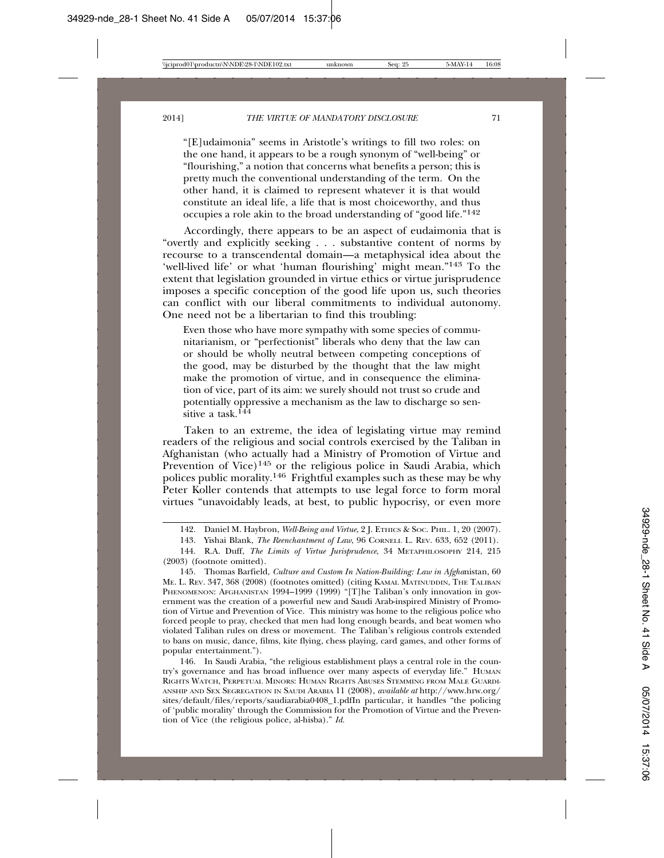"[E]udaimonia" seems in Aristotle's writings to fill two roles: on the one hand, it appears to be a rough synonym of "well-being" or "flourishing," a notion that concerns what benefits a person; this is pretty much the conventional understanding of the term. On the other hand, it is claimed to represent whatever it is that would constitute an ideal life, a life that is most choiceworthy, and thus occupies a role akin to the broad understanding of "good life."142

Accordingly, there appears to be an aspect of eudaimonia that is "overtly and explicitly seeking . . . substantive content of norms by recourse to a transcendental domain—a metaphysical idea about the 'well-lived life' or what 'human flourishing' might mean."143 To the extent that legislation grounded in virtue ethics or virtue jurisprudence imposes a specific conception of the good life upon us, such theories can conflict with our liberal commitments to individual autonomy. One need not be a libertarian to find this troubling:

Even those who have more sympathy with some species of communitarianism, or "perfectionist" liberals who deny that the law can or should be wholly neutral between competing conceptions of the good, may be disturbed by the thought that the law might make the promotion of virtue, and in consequence the elimination of vice, part of its aim: we surely should not trust so crude and potentially oppressive a mechanism as the law to discharge so sensitive a task  $144$ 

Taken to an extreme, the idea of legislating virtue may remind readers of the religious and social controls exercised by the Taliban in Afghanistan (who actually had a Ministry of Promotion of Virtue and Prevention of Vice)<sup>145</sup> or the religious police in Saudi Arabia, which polices public morality.146 Frightful examples such as these may be why Peter Koller contends that attempts to use legal force to form moral virtues "unavoidably leads, at best, to public hypocrisy, or even more

146. In Saudi Arabia, "the religious establishment plays a central role in the country's governance and has broad influence over many aspects of everyday life." HUMAN RIGHTS WATCH, PERPETUAL MINORS: HUMAN RIGHTS ABUSES STEMMING FROM MALE GUARDI-ANSHIP AND SEX SEGREGATION IN SAUDI ARABIA 11 (2008), *available at* http://www.hrw.org/ sites/default/files/reports/saudiarabia0408\_1.pdfIn particular, it handles "the policing of 'public morality' through the Commission for the Promotion of Virtue and the Prevention of Vice (the religious police, al-hisba)." *Id.*

<sup>142.</sup> Daniel M. Haybron, *Well-Being and Virtue*, 2 J. ETHICS & SOC. PHIL. 1, 20 (2007).

<sup>143.</sup> Yishai Blank, *The Reenchantment of Law*, 96 CORNELL L. REV. 633, 652 (2011).

<sup>144.</sup> R.A. Duff, *The Limits of Virtue Jurisprudence*, 34 METAPHILOSOPHY 214, 215 (2003) (footnote omitted).

<sup>145.</sup> Thomas Barfield, *Culture and Custom In Nation-Building: Law in Afgha*nistan, 60 ME. L. REV. 347, 368 (2008) (footnotes omitted) (citing KAMAL MATINUDDIN, THE TALIBAN PHENOMENON: AFGHANISTAN 1994-1999 (1999) "[T]he Taliban's only innovation in government was the creation of a powerful new and Saudi Arab-inspired Ministry of Promotion of Virtue and Prevention of Vice. This ministry was home to the religious police who forced people to pray, checked that men had long enough beards, and beat women who violated Taliban rules on dress or movement. The Taliban's religious controls extended to bans on music, dance, films, kite flying, chess playing, card games, and other forms of popular entertainment.").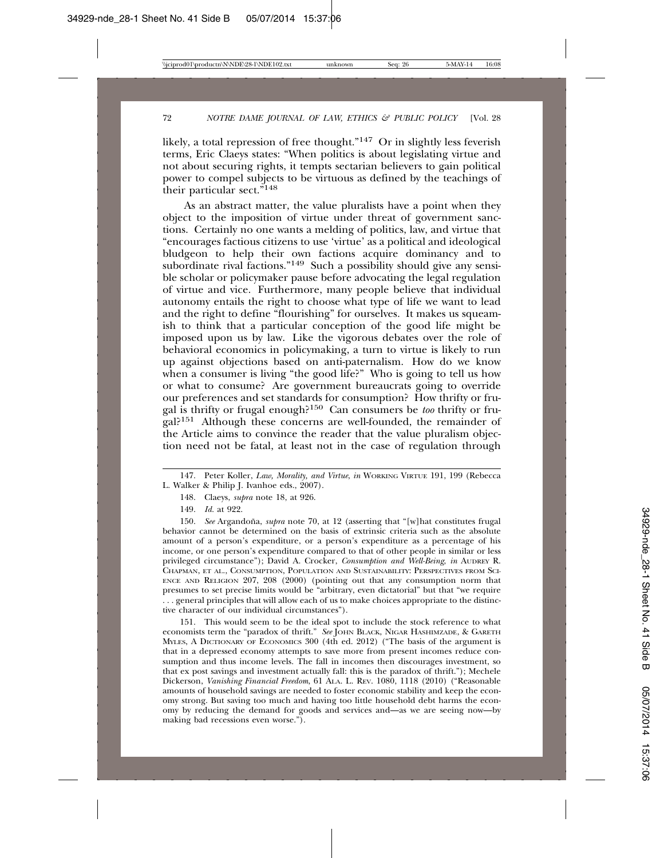likely, a total repression of free thought."147 Or in slightly less feverish terms, Eric Claeys states: "When politics is about legislating virtue and not about securing rights, it tempts sectarian believers to gain political power to compel subjects to be virtuous as defined by the teachings of their particular sect."148

As an abstract matter, the value pluralists have a point when they object to the imposition of virtue under threat of government sanctions. Certainly no one wants a melding of politics, law, and virtue that "encourages factious citizens to use 'virtue' as a political and ideological bludgeon to help their own factions acquire dominancy and to subordinate rival factions."<sup>149</sup> Such a possibility should give any sensible scholar or policymaker pause before advocating the legal regulation of virtue and vice. Furthermore, many people believe that individual autonomy entails the right to choose what type of life we want to lead and the right to define "flourishing" for ourselves. It makes us squeamish to think that a particular conception of the good life might be imposed upon us by law. Like the vigorous debates over the role of behavioral economics in policymaking, a turn to virtue is likely to run up against objections based on anti-paternalism. How do we know when a consumer is living "the good life?" Who is going to tell us how or what to consume? Are government bureaucrats going to override our preferences and set standards for consumption? How thrifty or frugal is thrifty or frugal enough?150 Can consumers be *too* thrifty or frugal?151 Although these concerns are well-founded, the remainder of the Article aims to convince the reader that the value pluralism objection need not be fatal, at least not in the case of regulation through

<sup>147.</sup> Peter Koller, *Law, Morality, and Virtue*, *in* WORKING VIRTUE 191, 199 (Rebecca L. Walker & Philip J. Ivanhoe eds., 2007).

<sup>148.</sup> Claeys, *supra* note 18, at 926.

<sup>149.</sup> *Id.* at 922.

<sup>150.</sup> See Argandoña, *supra* note 70, at 12 (asserting that "[w]hat constitutes frugal behavior cannot be determined on the basis of extrinsic criteria such as the absolute amount of a person's expenditure, or a person's expenditure as a percentage of his income, or one person's expenditure compared to that of other people in similar or less privileged circumstance"); David A. Crocker, *Consumption and Well-Being*, *in* AUDREY R. CHAPMAN, ET AL., CONSUMPTION, POPULATION AND SUSTAINABILITY: PERSPECTIVES FROM SCI-ENCE AND RELIGION 207, 208 (2000) (pointing out that any consumption norm that presumes to set precise limits would be "arbitrary, even dictatorial" but that "we require . . . general principles that will allow each of us to make choices appropriate to the distinctive character of our individual circumstances").

<sup>151.</sup> This would seem to be the ideal spot to include the stock reference to what economists term the "paradox of thrift." *See* JOHN BLACK, NIGAR HASHIMZADE, & GARETH MYLES, A DICTIONARY OF ECONOMICS 300 (4th ed. 2012) ("The basis of the argument is that in a depressed economy attempts to save more from present incomes reduce consumption and thus income levels. The fall in incomes then discourages investment, so that ex post savings and investment actually fall: this is the paradox of thrift."); Mechele Dickerson, *Vanishing Financial Freedom*, 61 ALA. L. REV. 1080, 1118 (2010) ("Reasonable amounts of household savings are needed to foster economic stability and keep the economy strong. But saving too much and having too little household debt harms the economy by reducing the demand for goods and services and—as we are seeing now—by making bad recessions even worse.").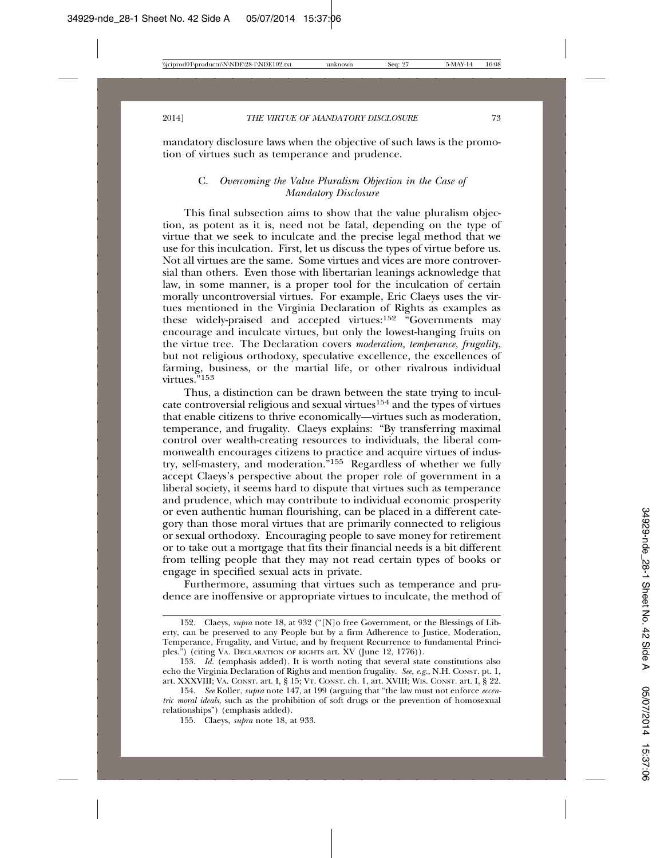mandatory disclosure laws when the objective of such laws is the promotion of virtues such as temperance and prudence.

# C. *Overcoming the Value Pluralism Objection in the Case of Mandatory Disclosure*

This final subsection aims to show that the value pluralism objection, as potent as it is, need not be fatal, depending on the type of virtue that we seek to inculcate and the precise legal method that we use for this inculcation. First, let us discuss the types of virtue before us. Not all virtues are the same. Some virtues and vices are more controversial than others. Even those with libertarian leanings acknowledge that law, in some manner, is a proper tool for the inculcation of certain morally uncontroversial virtues. For example, Eric Claeys uses the virtues mentioned in the Virginia Declaration of Rights as examples as these widely-praised and accepted virtues: $152 \frac{152}{15}$  Governments may encourage and inculcate virtues, but only the lowest-hanging fruits on the virtue tree. The Declaration covers *moderation, temperance, frugality*, but not religious orthodoxy, speculative excellence, the excellences of farming, business, or the martial life, or other rivalrous individual virtues."<sup>153</sup>

Thus, a distinction can be drawn between the state trying to inculcate controversial religious and sexual virtues<sup>154</sup> and the types of virtues that enable citizens to thrive economically—virtues such as moderation, temperance, and frugality. Claeys explains: "By transferring maximal control over wealth-creating resources to individuals, the liberal commonwealth encourages citizens to practice and acquire virtues of industry, self-mastery, and moderation."155 Regardless of whether we fully accept Claeys's perspective about the proper role of government in a liberal society, it seems hard to dispute that virtues such as temperance and prudence, which may contribute to individual economic prosperity or even authentic human flourishing, can be placed in a different category than those moral virtues that are primarily connected to religious or sexual orthodoxy. Encouraging people to save money for retirement or to take out a mortgage that fits their financial needs is a bit different from telling people that they may not read certain types of books or engage in specified sexual acts in private.

Furthermore, assuming that virtues such as temperance and prudence are inoffensive or appropriate virtues to inculcate, the method of

<sup>152.</sup> Claeys, *supra* note 18, at 932 ("[N]o free Government, or the Blessings of Liberty, can be preserved to any People but by a firm Adherence to Justice, Moderation, Temperance, Frugality, and Virtue, and by frequent Recurrence to fundamental Principles.") (citing VA. DECLARATION OF RIGHTS art. XV (June 12, 1776)).

<sup>153.</sup> *Id.* (emphasis added). It is worth noting that several state constitutions also echo the Virginia Declaration of Rights and mention frugality. *See, e.g.*, N.H. CONST. pt. 1, art. XXXVIII; VA. CONST. art. I, § 15; VT. CONST. ch. 1, art. XVIII; WIS. CONST. art. I, § 22.

<sup>154.</sup> *See* Koller, *supra* note 147, at 199 (arguing that "the law must not enforce *eccentric moral ideals*, such as the prohibition of soft drugs or the prevention of homosexual relationships") (emphasis added).

<sup>155.</sup> Claeys, *supra* note 18, at 933.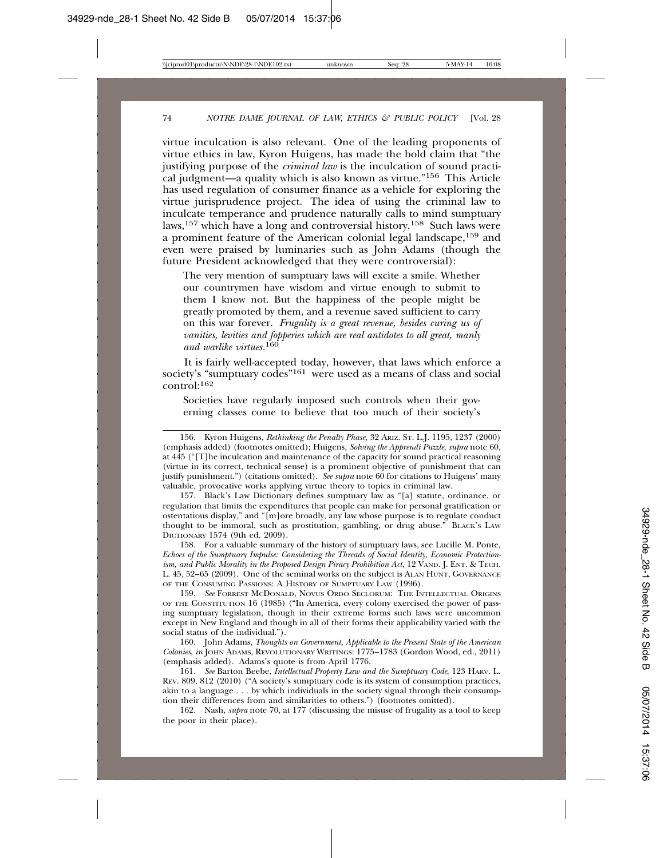virtue inculcation is also relevant. One of the leading proponents of virtue ethics in law, Kyron Huigens, has made the bold claim that "the justifying purpose of the *criminal law* is the inculcation of sound practical judgment—a quality which is also known as virtue."156 This Article has used regulation of consumer finance as a vehicle for exploring the virtue jurisprudence project. The idea of using the criminal law to inculcate temperance and prudence naturally calls to mind sumptuary laws,157 which have a long and controversial history.158 Such laws were a prominent feature of the American colonial legal landscape,159 and even were praised by luminaries such as John Adams (though the future President acknowledged that they were controversial):

The very mention of sumptuary laws will excite a smile. Whether our countrymen have wisdom and virtue enough to submit to them I know not. But the happiness of the people might be greatly promoted by them, and a revenue saved sufficient to carry on this war forever. *Frugality is a great revenue, besides curing us of vanities, levities and fopperies which are real antidotes to all great, manly and warlike virtues.*<sup>160</sup>

It is fairly well-accepted today, however, that laws which enforce a society's "sumptuary codes"<sup>161</sup> were used as a means of class and social control:<sup>162</sup>

Societies have regularly imposed such controls when their governing classes come to believe that too much of their society's

157. Black's Law Dictionary defines sumptuary law as "[a] statute, ordinance, or regulation that limits the expenditures that people can make for personal gratification or ostentatious display," and "[m]ore broadly, any law whose purpose is to regulate conduct thought to be immoral, such as prostitution, gambling, or drug abuse." BLACK'S LAW DICTIONARY 1574 (9th ed. 2009).

158. For a valuable summary of the history of sumptuary laws, see Lucille M. Ponte, *Echoes of the Sumptuary Impulse: Considering the Threads of Social Identity, Economic Protectionism, and Public Morality in the Proposed Design Piracy Prohibition Act,* 12 VAND. J. ENT. & TECH. L. 45, 52–65 (2009). One of the seminal works on the subject is ALAN HUNT, GOVERNANCE OF THE CONSUMING PASSIONS: A HISTORY OF SUMPTUARY LAW (1996).

159. *See* FORREST MCDONALD, NOVUS ORDO SECLORUM: THE INTELLECTUAL ORIGINS OF THE CONSTITUTION 16 (1985) ("In America, every colony exercised the power of passing sumptuary legislation, though in their extreme forms such laws were uncommon except in New England and though in all of their forms their applicability varied with the social status of the individual.").

160. John Adams, *Thoughts on Government, Applicable to the Present State of the American Colonies*, *in* JOHN ADAMS, REVOLUTIONARY WRITINGS: 1775–1783 (Gordon Wood, ed., 2011) (emphasis added). Adams's quote is from April 1776.

161. *See* Barton Beebe, *Intellectual Property Law and the Sumptuary Code*, 123 HARV. L. REV. 809, 812 (2010) ("A society's sumptuary code is its system of consumption practices, akin to a language . . . by which individuals in the society signal through their consumption their differences from and similarities to others.") (footnotes omitted).

162. Nash, *supra* note 70, at 177 (discussing the misuse of frugality as a tool to keep the poor in their place).

<sup>156.</sup> Kyron Huigens, *Rethinking the Penalty Phase,* 32 ARIZ. ST. L.J. 1195, 1237 (2000) (emphasis added) (footnotes omitted); Huigens, *Solving the Apprendi Puzzle*, *supra* note 60, at 445 ("[T]he inculcation and maintenance of the capacity for sound practical reasoning (virtue in its correct, technical sense) is a prominent objective of punishment that can justify punishment.") (citations omitted). *See supra* note 60 for citations to Huigens' many valuable, provocative works applying virtue theory to topics in criminal law.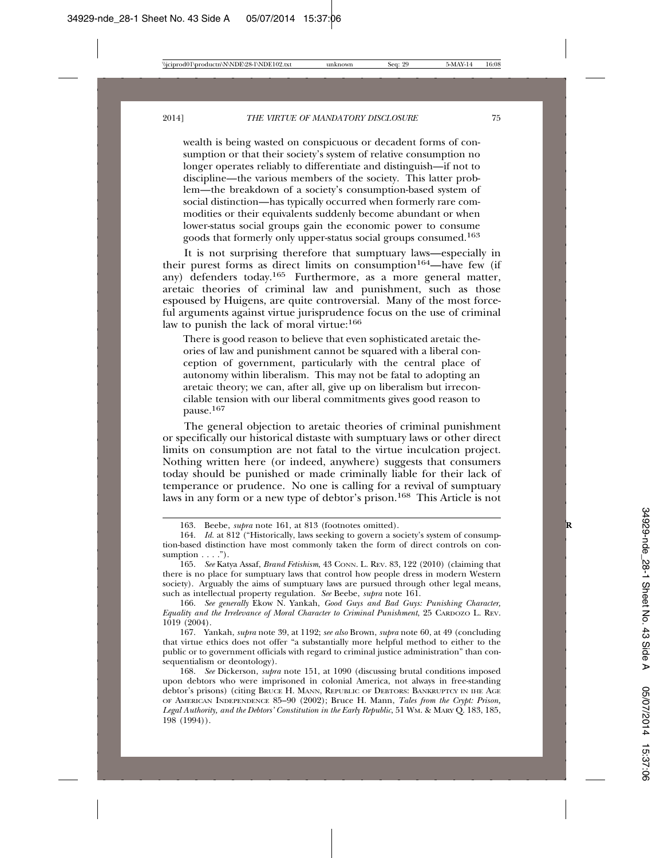wealth is being wasted on conspicuous or decadent forms of consumption or that their society's system of relative consumption no longer operates reliably to differentiate and distinguish—if not to discipline—the various members of the society. This latter problem—the breakdown of a society's consumption-based system of social distinction—has typically occurred when formerly rare commodities or their equivalents suddenly become abundant or when lower-status social groups gain the economic power to consume goods that formerly only upper-status social groups consumed.163

It is not surprising therefore that sumptuary laws—especially in their purest forms as direct limits on consumption<sup>164</sup>—have few (if any) defenders today.165 Furthermore, as a more general matter, aretaic theories of criminal law and punishment, such as those espoused by Huigens, are quite controversial. Many of the most forceful arguments against virtue jurisprudence focus on the use of criminal law to punish the lack of moral virtue:<sup>166</sup>

There is good reason to believe that even sophisticated aretaic theories of law and punishment cannot be squared with a liberal conception of government, particularly with the central place of autonomy within liberalism. This may not be fatal to adopting an aretaic theory; we can, after all, give up on liberalism but irreconcilable tension with our liberal commitments gives good reason to pause.<sup>167</sup>

The general objection to aretaic theories of criminal punishment or specifically our historical distaste with sumptuary laws or other direct limits on consumption are not fatal to the virtue inculcation project. Nothing written here (or indeed, anywhere) suggests that consumers today should be punished or made criminally liable for their lack of temperance or prudence. No one is calling for a revival of sumptuary laws in any form or a new type of debtor's prison.168 This Article is not

166. *See generally* Ekow N. Yankah, *Good Guys and Bad Guys: Punishing Character, Equality and the Irrelevance of Moral Character to Criminal Punishment*, 25 CARDOZO L. REV. 1019 (2004).

167. Yankah, *supra* note 39, at 1192; *see also* Brown, *supra* note 60, at 49 (concluding that virtue ethics does not offer "a substantially more helpful method to either to the public or to government officials with regard to criminal justice administration" than consequentialism or deontology).

<sup>163.</sup> Beebe, *supra* note 161, at 813 (footnotes omitted). **R**

<sup>164.</sup> *Id.* at 812 ("Historically, laws seeking to govern a society's system of consumption-based distinction have most commonly taken the form of direct controls on consumption  $\ldots$ .").

<sup>165.</sup> *See* Katya Assaf, *Brand Fetishism*, 43 CONN. L. REV. 83, 122 (2010) (claiming that there is no place for sumptuary laws that control how people dress in modern Western society). Arguably the aims of sumptuary laws are pursued through other legal means, such as intellectual property regulation. *See* Beebe, *supra* note 161.

<sup>168.</sup> *See* Dickerson, *supra* note 151, at 1090 (discussing brutal conditions imposed upon debtors who were imprisoned in colonial America, not always in free-standing debtor's prisons) (citing BRUCE H. MANN, REPUBLIC OF DEBTORS: BANKRUPTCY IN IHE AGE OF AMERICAN INDEPENDENCE 85–90 (2002); Bruce H. Mann, *Tales from the Crypt: Prison, Legal Authority, and the Debtors' Constitution in the Early Republic*, 51 WM. & MARY Q. 183, 185, 198 (1994)).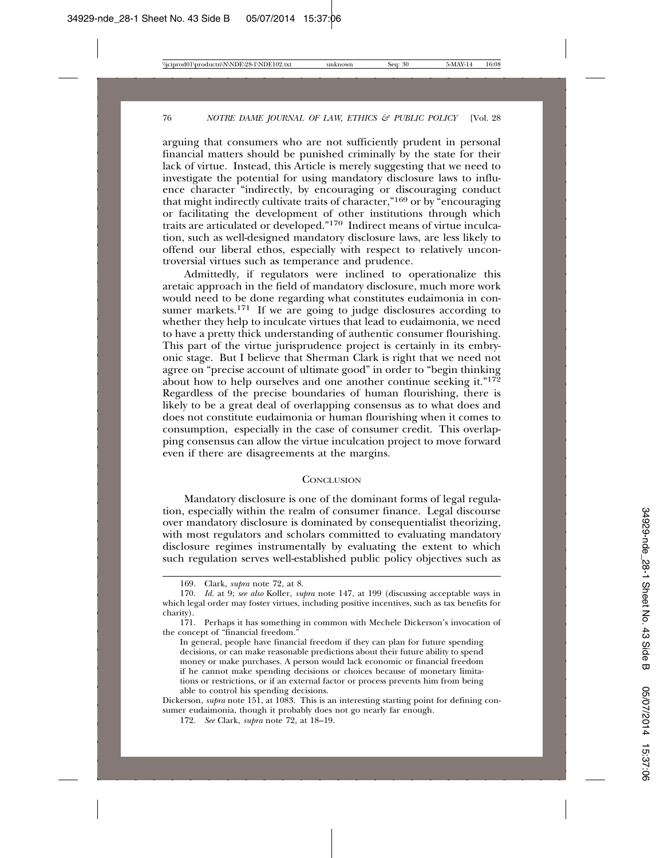arguing that consumers who are not sufficiently prudent in personal financial matters should be punished criminally by the state for their lack of virtue. Instead, this Article is merely suggesting that we need to investigate the potential for using mandatory disclosure laws to influence character "indirectly, by encouraging or discouraging conduct that might indirectly cultivate traits of character,"169 or by "encouraging or facilitating the development of other institutions through which traits are articulated or developed."170 Indirect means of virtue inculcation, such as well-designed mandatory disclosure laws, are less likely to offend our liberal ethos, especially with respect to relatively uncontroversial virtues such as temperance and prudence.

Admittedly, if regulators were inclined to operationalize this aretaic approach in the field of mandatory disclosure, much more work would need to be done regarding what constitutes eudaimonia in consumer markets.<sup>171</sup> If we are going to judge disclosures according to whether they help to inculcate virtues that lead to eudaimonia, we need to have a pretty thick understanding of authentic consumer flourishing. This part of the virtue jurisprudence project is certainly in its embryonic stage. But I believe that Sherman Clark is right that we need not agree on "precise account of ultimate good" in order to "begin thinking about how to help ourselves and one another continue seeking it." $17\frac{2}{2}$ Regardless of the precise boundaries of human flourishing, there is likely to be a great deal of overlapping consensus as to what does and does not constitute eudaimonia or human flourishing when it comes to consumption, especially in the case of consumer credit. This overlapping consensus can allow the virtue inculcation project to move forward even if there are disagreements at the margins.

#### **CONCLUSION**

Mandatory disclosure is one of the dominant forms of legal regulation, especially within the realm of consumer finance. Legal discourse over mandatory disclosure is dominated by consequentialist theorizing, with most regulators and scholars committed to evaluating mandatory disclosure regimes instrumentally by evaluating the extent to which such regulation serves well-established public policy objectives such as

Dickerson, *supra* note 151, at 1083. This is an interesting starting point for defining consumer eudaimonia, though it probably does not go nearly far enough.

<sup>169.</sup> Clark, *supra* note 72, at 8.

<sup>170.</sup> *Id.* at 9; *see also* Koller, *supra* note 147, at 199 (discussing acceptable ways in which legal order may foster virtues, including positive incentives, such as tax benefits for charity).

<sup>171.</sup> Perhaps it has something in common with Mechele Dickerson's invocation of the concept of "financial freedom."

In general, people have financial freedom if they can plan for future spending decisions, or can make reasonable predictions about their future ability to spend money or make purchases. A person would lack economic or financial freedom if he cannot make spending decisions or choices because of monetary limitations or restrictions, or if an external factor or process prevents him from being able to control his spending decisions.

<sup>172.</sup> *See* Clark, *supra* note 72, at 18–19.